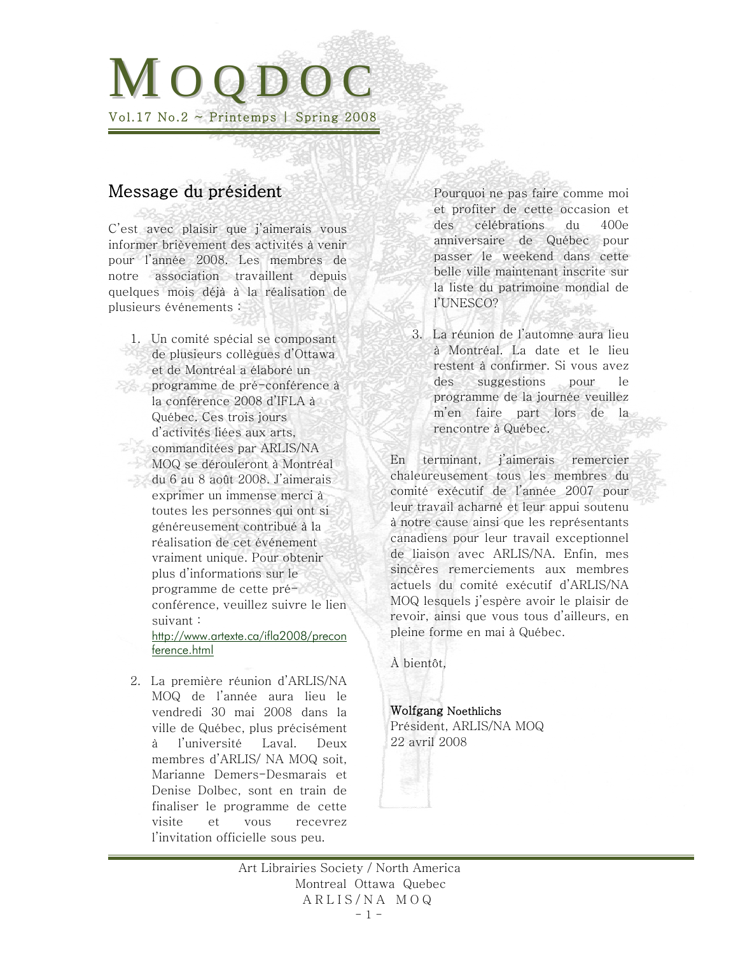# M O O D O Vol.17 No.2  $\sim$  Printemps | Spring 2008

# Message du président

C'est avec plaisir que j'aimerais vous informer brièvement des activités à venir pour l'année 2008. Les membres de notre association travaillent depuis quelques mois déjà à la réalisation de plusieurs événements :

1. Un comité spécial se composant de plusieurs collègues d'Ottawa et de Montréal a élaboré un programme de pré-conférence à la conférence 2008 d'IFLA à Québec. Ces trois jours d'activités liées aux arts, commanditées par ARLIS/NA MOQ se dérouleront à Montréal du 6 au 8 août 2008. J'aimerais exprimer un immense merci à toutes les personnes qui ont si généreusement contribué à la réalisation de cet événement vraiment unique. Pour obtenir plus d'informations sur le programme de cette préconférence, veuillez suivre le lien suivant : [http://www.artexte.ca/ifla2008/precon](http://www.artexte.ca/ifla2008/preconference.html)

[ference.html](http://www.artexte.ca/ifla2008/preconference.html)

2. La première réunion d'ARLIS/NA MOQ de l'année aura lieu le vendredi 30 mai 2008 dans la ville de Québec, plus précisément à l'université Laval. Deux membres d'ARLIS/ NA MOQ soit, Marianne Demers-Desmarais et Denise Dolbec, sont en train de finaliser le programme de cette visite et vous recevrez l'invitation officielle sous peu.

Pourquoi ne pas faire comme moi et profiter de cette occasion et des célébrations du 400e anniversaire de Québec pour passer le weekend dans cette belle ville maintenant inscrite sur la liste du patrimoine mondial de l'UNESCO?

3. La réunion de l'automne aura lieu à Montréal. La date et le lieu restent à confirmer. Si vous avez des suggestions pour le programme de la journée veuillez m'en faire part lors de la rencontre à Québec.

En terminant, j'aimerais remercier chaleureusement tous les membres du comité exécutif de l'année 2007 pour leur travail acharné et leur appui soutenu à notre cause ainsi que les représentants canadiens pour leur travail exceptionnel de liaison avec ARLIS/NA. Enfin, mes sincères remerciements aux membres actuels du comité exécutif d'ARLIS/NA MOQ lesquels j'espère avoir le plaisir de revoir, ainsi que vous tous d'ailleurs, en pleine forme en mai à Québec.

À bientôt,

Wolfgang Noethlichs Président, ARLIS/NA MOQ 22 avril 2008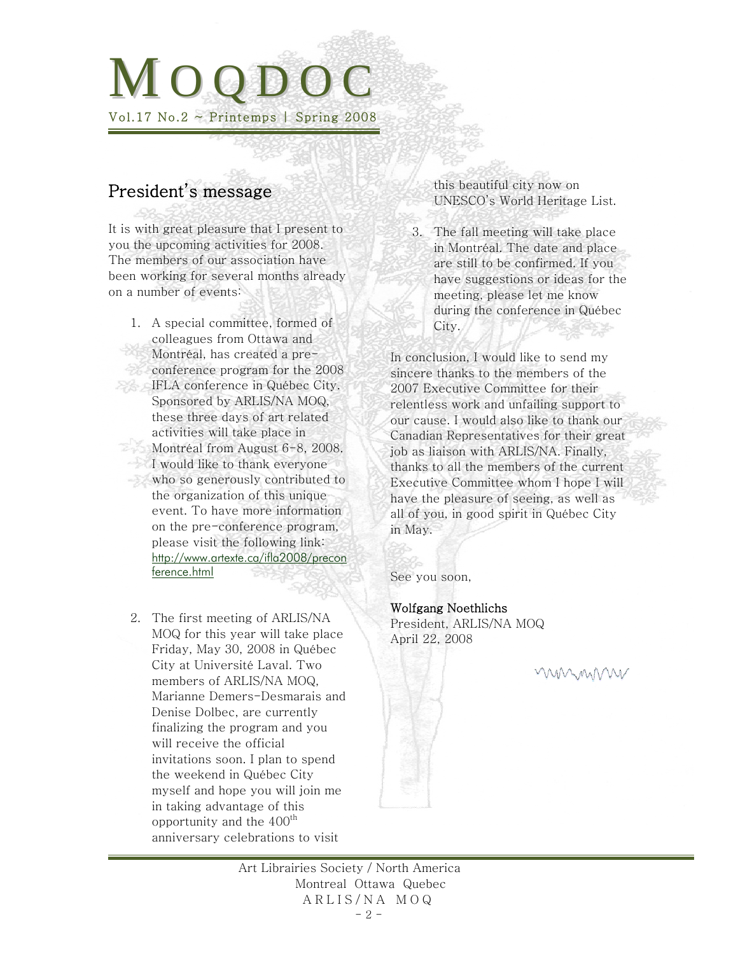# M O O D O Vol.17 No.2  $\sim$  Printemps | Spring 2008

# President's message

It is with great pleasure that I present to you the upcoming activities for 2008. The members of our association have been working for several months already on a number of events:

- 1. A special committee, formed of colleagues from Ottawa and Montréal, has created a preconference program for the 2008 **IFLA conference in Québec City.** Sponsored by ARLIS/NA MOQ, these three days of art related activities will take place in Montréal from August 6-8, 2008. I would like to thank everyone who so generously contributed to the organization of this unique event. To have more information on the pre-conference program, please visit the following link: [http://www.artexte.ca/ifla2008/precon](http://www.artexte.ca/ifla2008/preconference.html) [ference.html](http://www.artexte.ca/ifla2008/preconference.html)
	- 2. The first meeting of ARLIS/NA MOQ for this year will take place Friday, May 30, 2008 in Québec City at Université Laval. Two members of ARLIS/NA MOQ, Marianne Demers-Desmarais and Denise Dolbec, are currently finalizing the program and you will receive the official invitations soon. I plan to spend the weekend in Québec City myself and hope you will join me in taking advantage of this opportunity and the  $400<sup>th</sup>$ anniversary celebrations to visit

this beautiful city now on UNESCO's World Heritage List.

3. The fall meeting will take place in Montréal. The date and place are still to be confirmed. If you have suggestions or ideas for the meeting, please let me know during the conference in Québec City.

In conclusion, I would like to send my sincere thanks to the members of the 2007 Executive Committee for their relentless work and unfailing support to our cause. I would also like to thank our Canadian Representatives for their great job as liaison with ARLIS/NA. Finally, thanks to all the members of the current Executive Committee whom I hope I will have the pleasure of seeing, as well as all of you, in good spirit in Québec City in May.

See you soon,

### Wolfgang Noethlichs

President, ARLIS/NA MOQ April 22, 2008

WWWWW

Art Librairies Society / North America Montreal Ottawa Quebec A R L I S / N A M O Q - 2 -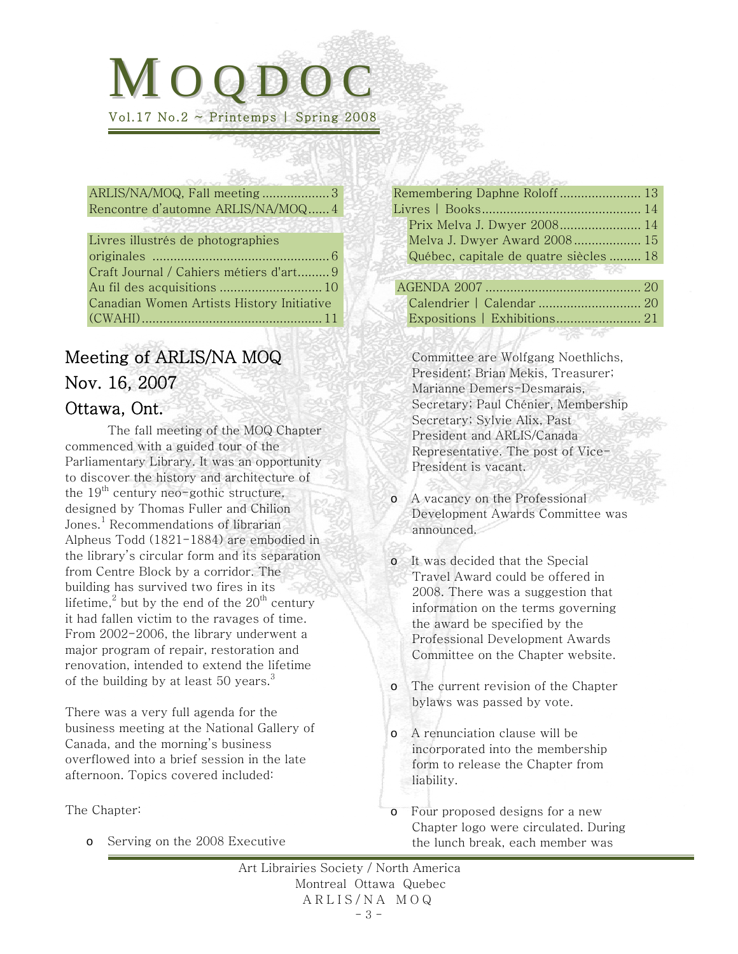# <span id="page-2-0"></span> $MOOD$ Vol.17 No.2  $\sim$  Printemps | Spring 2008

[ARLIS/NA/MOQ, Fall meeting](#page-2-0) ...................3 [Rencontre d'automne ARLIS/NA/MOQ......4](#page-3-0)

| Livres illustrés de photographies         |
|-------------------------------------------|
|                                           |
| Craft Journal / Cahiers métiers d'art9    |
|                                           |
| Canadian Women Artists History Initiative |
|                                           |
|                                           |

# Meeting of ARLIS/NA MOQ Nov. 16, 2007 Ottawa, Ont.

The fall meeting of the MOQ Chapter commenced with a guided tour of the Parliamentary Library. It was an opportunity to discover the history and architecture of the  $19<sup>th</sup>$  century neo-gothic structure, designed by Thomas Fuller and Chilion Jones.<sup>1</sup> Recommendations of librarian Alpheus Todd (1821-1884) are embodied in the library's circular form and its separation from Centre Block by a corridor. The building has survived two fires in its lifetime, $^2$  but by the end of the  $20^{\rm th}$  century it had fallen victim to the ravages of time. From 2002-2006, the library underwent a major program of repair, restoration and renovation, intended to extend the lifetime of the building by at least  $50$  years.<sup>3</sup>

There was a very full agenda for the business meeting at the National Gallery of Canada, and the morning's business overflowed into a brief session in the late afternoon. Topics covered included:

The Chapter:

o Serving on the 2008 Executive

| Remembering Daphne Roloff 13           |  |
|----------------------------------------|--|
|                                        |  |
| Prix Melva J. Dwyer 2008 14            |  |
| Melva J. Dwyer Award 2008 15           |  |
| Québec, capitale de quatre siècles  18 |  |
| (2) パンピュー せいさいしゃ しょうしょう                |  |
|                                        |  |
| Calendrier   Calendar  20              |  |
|                                        |  |
|                                        |  |

Committee are Wolfgang Noethlichs, President; Brian Mekis, Treasurer; Marianne Demers-Desmarais, Secretary; Paul Chénier, Membership Secretary; Sylvie Alix, Past President and ARLIS/Canada Representative. The post of Vice-President is vacant.

- o A vacancy on the Professional Development Awards Committee was announced.
- o It was decided that the Special Travel Award could be offered in 2008. There was a suggestion that information on the terms governing the award be specified by the Professional Development Awards Committee on the Chapter website.
- o The current revision of the Chapter bylaws was passed by vote.
- o A renunciation clause will be incorporated into the membership form to release the Chapter from liability.
- o Four proposed designs for a new Chapter logo were circulated. During the lunch break, each member was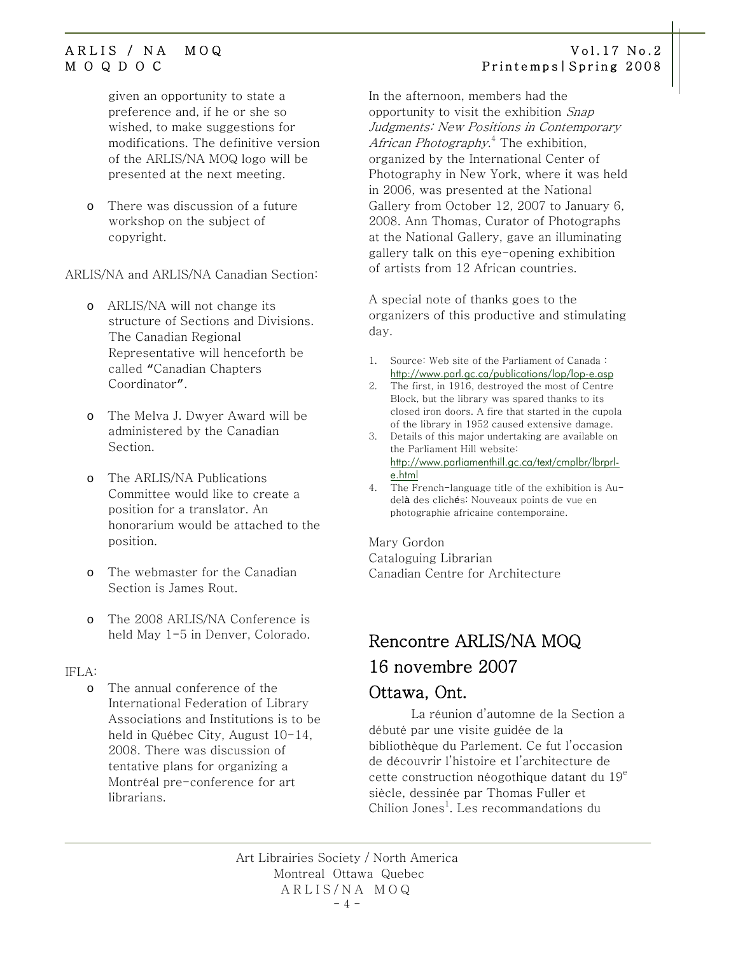given an opportunity to state a preference and, if he or she so wished, to make suggestions for modifications. The definitive version of the ARLIS/NA MOQ logo will be presented at the next meeting.

o There was discussion of a future workshop on the subject of copyright.

ARLIS/NA and ARLIS/NA Canadian Section:

- o ARLIS/NA will not change its structure of Sections and Divisions. The Canadian Regional Representative will henceforth be called "Canadian Chapters Coordinator".
- o The Melva J. Dwyer Award will be administered by the Canadian Section.
- o The ARLIS/NA Publications Committee would like to create a position for a translator. An honorarium would be attached to the position.
- o The webmaster for the Canadian Section is James Rout.
- o The 2008 ARLIS/NA Conference is held May 1-5 in Denver, Colorado.

### IFLA:

o The annual conference of the International Federation of Library Associations and Institutions is to be held in Québec City, August 10-14, 2008. There was discussion of tentative plans for organizing a Montréal pre-conference for art librarians.

### <span id="page-3-0"></span>ARLIS / NA MOQ Vol.17 No.2 M O Q D O C Printemps|Spring 2008

In the afternoon, members had the opportunity to visit the exhibition Snap Judgments: New Positions in Contemporary A*frican Photography*.<sup>4</sup> The exhibition, organized by the International Center of Photography in New York, where it was held in 2006, was presented at the National Gallery from October 12, 2007 to January 6, 2008. Ann Thomas, Curator of Photographs at the National Gallery, gave an illuminating gallery talk on this eye-opening exhibition of artists from 12 African countries.

A special note of thanks goes to the organizers of this productive and stimulating day.

- 1. Source: Web site of the Parliament of Canada : <http://www.parl.gc.ca/publications/lop/lop-e.asp>
- 2. The first, in 1916, destroyed the most of Centre Block, but the library was spared thanks to its closed iron doors. A fire that started in the cupola of the library in 1952 caused extensive damage.
- 3. Details of this major undertaking are available on the Parliament Hill website: [http://www.parliamenthill.gc.ca/text/cmplbr/lbrprl](http://www.parliamenthill.gc.ca/text/cmplbr/lbrprl-e.html)[e.html](http://www.parliamenthill.gc.ca/text/cmplbr/lbrprl-e.html)
- 4. The French-language title of the exhibition is Audelà des clichés: Nouveaux points de vue en photographie africaine contemporaine.

### Mary Gordon

Cataloguing Librarian Canadian Centre for Architecture

# Rencontre ARLIS/NA MOQ 16 novembre 2007 Ottawa, Ont.

La réunion d'automne de la Section a débuté par une visite guidée de la bibliothèque du Parlement. Ce fut l'occasion de découvrir l'histoire et l'architecture de cette construction néogothique datant du  $19^e$ siècle, dessinée par Thomas Fuller et Chilion Jones<sup>1</sup>. Les recommandations du

Art Librairies Society / North America Montreal Ottawa Quebec ARLIS/NA MOQ  $-4 -$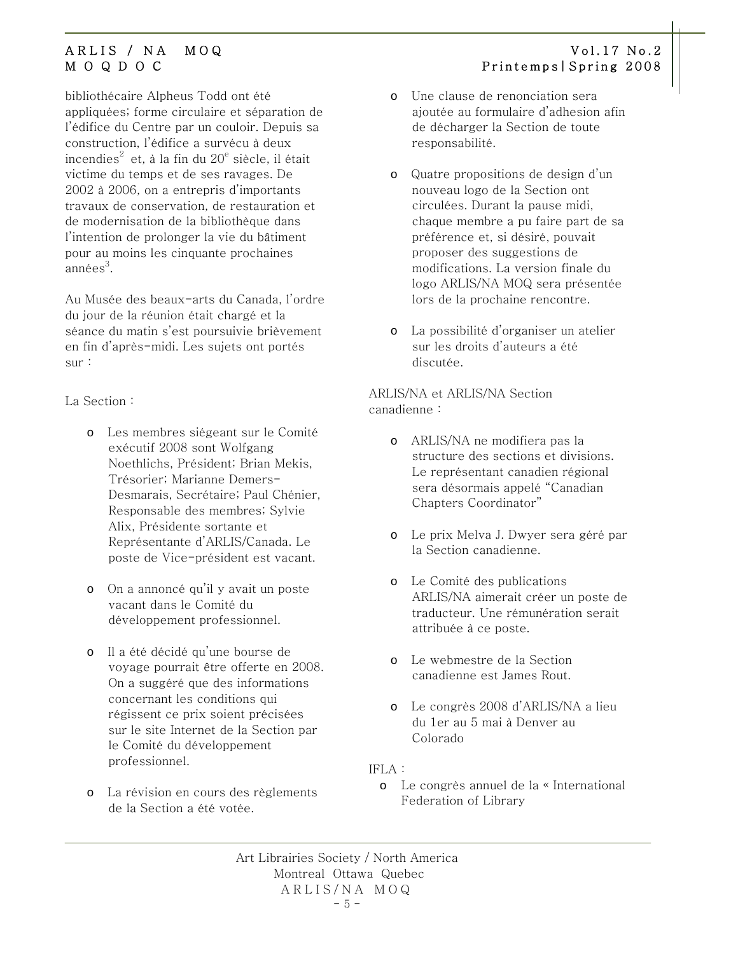bibliothécaire Alpheus Todd ont été appliquées; forme circulaire et séparation de l'édifice du Centre par un couloir. Depuis sa construction, l'édifice a survécu à deux incendies $^2$  et, à la fin du  $20^{\rm e}$  siècle, il était victime du temps et de ses ravages. De 2002 à 2006, on a entrepris d'importants travaux de conservation, de restauration et de modernisation de la bibliothèque dans l'intention de prolonger la vie du bâtiment pour au moins les cinquante prochaines année $\mathrm{s}^3$ .

Au Musée des beaux-arts du Canada, l'ordre du jour de la réunion était chargé et la séance du matin s'est poursuivie brièvement en fin d'après-midi. Les sujets ont portés sur :

La Section :

- o Les membres siégeant sur le Comité exécutif 2008 sont Wolfgang Noethlichs, Président; Brian Mekis, Trésorier; Marianne Demers-Desmarais, Secrétaire; Paul Chénier, Responsable des membres; Sylvie Alix, Présidente sortante et Représentante d'ARLIS/Canada. Le poste de Vice-président est vacant.
- o On a annoncé qu'il y avait un poste vacant dans le Comité du développement professionnel.
- o Il a été décidé qu'une bourse de voyage pourrait être offerte en 2008. On a suggéré que des informations concernant les conditions qui régissent ce prix soient précisées sur le site Internet de la Section par le Comité du développement professionnel.
- o La révision en cours des règlements de la Section a été votée.
- ARLIS / NA MOQ Vol.17 No.2 M O Q D O C Printemps|Spring 2008
	- o Une clause de renonciation sera ajoutée au formulaire d'adhesion afin de décharger la Section de toute responsabilité.
	- o Quatre propositions de design d'un nouveau logo de la Section ont circulées. Durant la pause midi, chaque membre a pu faire part de sa préférence et, si désiré, pouvait proposer des suggestions de modifications. La version finale du logo ARLIS/NA MOQ sera présentée lors de la prochaine rencontre.
	- o La possibilité d'organiser un atelier sur les droits d'auteurs a été discutée.

ARLIS/NA et ARLIS/NA Section canadienne :

- o ARLIS/NA ne modifiera pas la structure des sections et divisions. Le représentant canadien régional sera désormais appelé "Canadian Chapters Coordinator"
- o Le prix Melva J. Dwyer sera géré par la Section canadienne.
- o Le Comité des publications ARLIS/NA aimerait créer un poste de traducteur. Une rémunération serait attribuée à ce poste.
- o Le webmestre de la Section canadienne est James Rout.
- o Le congrès 2008 d'ARLIS/NA a lieu du 1er au 5 mai à Denver au Colorado

### IFLA :

o Le congrès annuel de la « International Federation of Library

Art Librairies Society / North America Montreal Ottawa Quebec ARLIS/NA MOQ  $-5 -$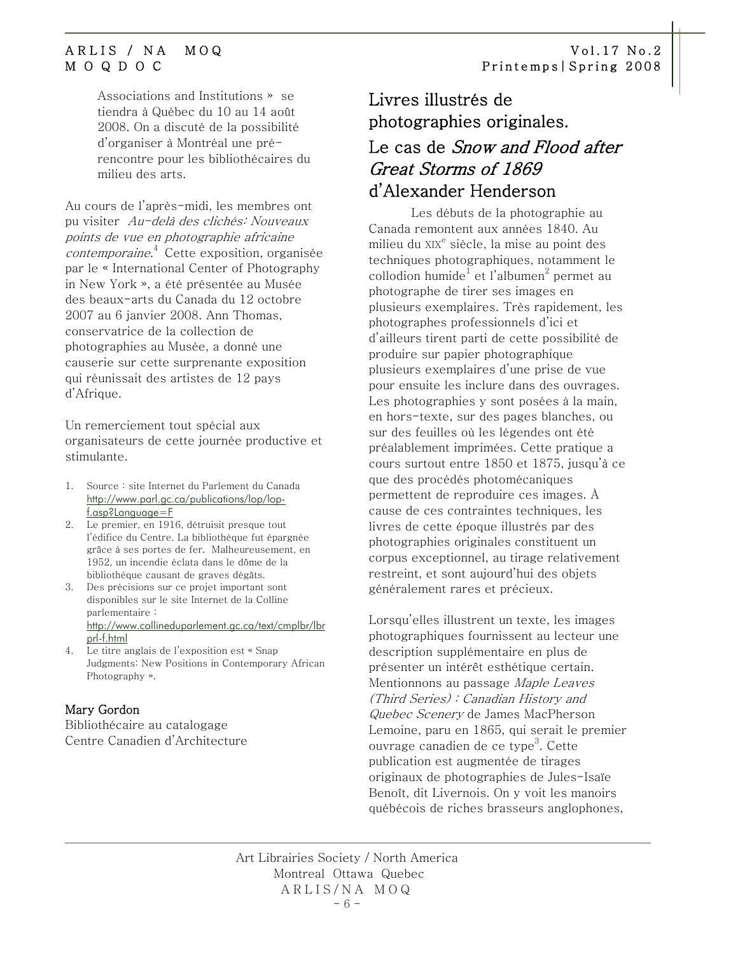<span id="page-5-0"></span>Associations and Institutions » se tiendra à Québec du 10 au 14 août 2008. On a discuté de la possibilité d'organiser à Montréal une prérencontre pour les bibliothécaires du milieu des arts.

Au cours de l'après-midi, les membres ont pu visiter Au-delà des clichés: Nouveaux points de vue en photographie africaine contemporaine. 4 Cette exposition, organisée par le « International Center of Photography in New York », a été présentée au Musée des beaux-arts du Canada du 12 octobre 2007 au 6 janvier 2008. Ann Thomas, conservatrice de la collection de photographies au Musée, a donné une causerie sur cette surprenante exposition qui réunissait des artistes de 12 pays d'Afrique.

Un remerciement tout spécial aux organisateurs de cette journée productive et stimulante.

- 1. Source : site Internet du Parlement du Canada [http://www.parl.gc.ca/publications/lop/lop](http://www.parl.gc.ca/publications/lop/lop-f.asp?Language=F)[f.asp?Language=F](http://www.parl.gc.ca/publications/lop/lop-f.asp?Language=F)
- 2. Le premier, en 1916, détruisit presque tout l'édifice du Centre. La bibliothèque fut épargnée grâce à ses portes de fer. Malheureusement, en 1952, un incendie éclata dans le dôme de la bibliothèque causant de graves dégâts.
- 3. Des précisions sur ce projet important sont disponibles sur le site Internet de la Colline parlementaire : [http://www.collineduparlement.gc.ca/text/cmplbr/lbr](http://www.collineduparlement.gc.ca/text/cmplbr/lbrprl-f.html) [prl-f.html](http://www.collineduparlement.gc.ca/text/cmplbr/lbrprl-f.html)
- 4. Le titre anglais de l'exposition est « Snap Judgments: New Positions in Contemporary African Photography ».

### Mary Gordon

Bibliothécaire au catalogage Centre Canadien d'Architecture

# Livres illustrés de photographies originales.

# Le cas de Snow and Flood after Great Storms of 1869 d'Alexander Henderson

Les débuts de la photographie au Canada remontent aux années 1840. Au milieu du XIX<sup>e</sup> siècle, la mise au point des techniques photographiques, notamment le collodion humide $^{\rm l}$  et l'albumen $^{\rm 2}$  permet au photographe de tirer ses images en plusieurs exemplaires. Très rapidement, les photographes professionnels d'ici et d'ailleurs tirent parti de cette possibilité de produire sur papier photographique plusieurs exemplaires d'une prise de vue pour ensuite les inclure dans des ouvrages. Les photographies y sont posées à la main, en hors-texte, sur des pages blanches, ou sur des feuilles où les légendes ont été préalablement imprimées. Cette pratique a cours surtout entre 1850 et 1875, jusqu'à ce que des procédés photomécaniques permettent de reproduire ces images. À cause de ces contraintes techniques, les livres de cette époque illustrés par des photographies originales constituent un corpus exceptionnel, au tirage relativement restreint, et sont aujourd'hui des objets généralement rares et précieux.

Lorsqu'elles illustrent un texte, les images photographiques fournissent au lecteur une description supplémentaire en plus de présenter un intérêt esthétique certain. Mentionnons au passage Maple Leaves (Third Series) : Canadian History and Quebec Scenery de James MacPherson Lemoine, paru en 1865, qui serait le premier ouvrage canadien de ce type<sup>3</sup>. Cette publication est augmentée de tirages originaux de photographies de Jules-Isaïe Benoît, dit Livernois. On y voit les manoirs québécois de riches brasseurs anglophones,

Art Librairies Society / North America Montreal Ottawa Quebec ARLIS/NA MOQ  $- 6 -$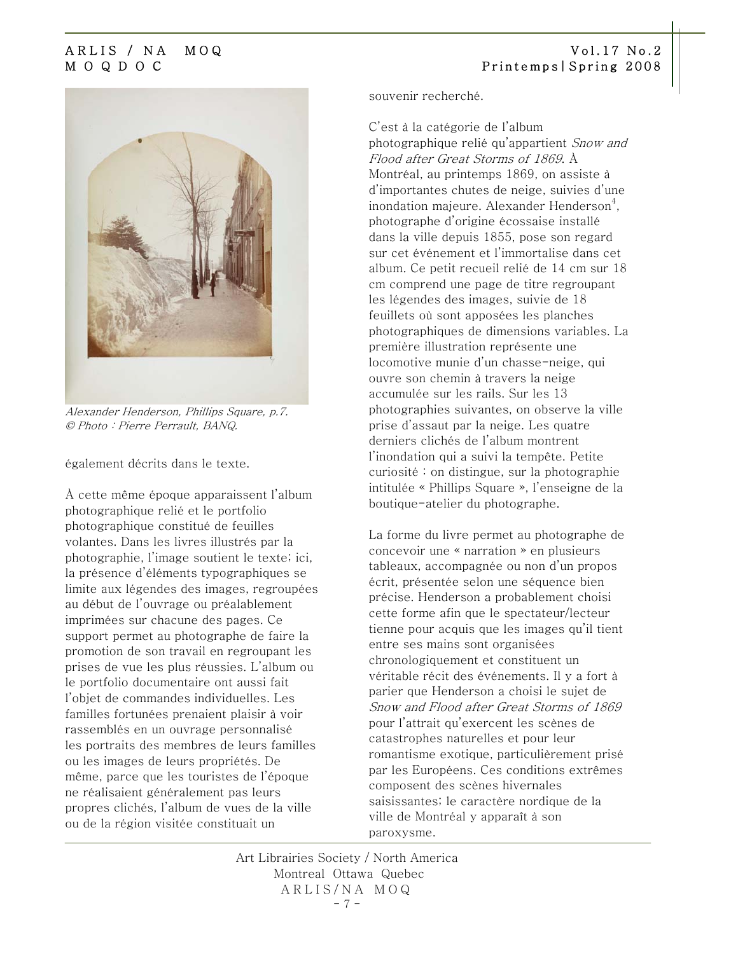

Alexander Henderson, Phillips Square, p.7. © Photo : Pierre Perrault, BANQ.

également décrits dans le texte.

À cette même époque apparaissent l'album photographique relié et le portfolio photographique constitué de feuilles volantes. Dans les livres illustrés par la photographie, l'image soutient le texte; ici, la présence d'éléments typographiques se limite aux légendes des images, regroupées au début de l'ouvrage ou préalablement imprimées sur chacune des pages. Ce support permet au photographe de faire la promotion de son travail en regroupant les prises de vue les plus réussies. L'album ou le portfolio documentaire ont aussi fait l'objet de commandes individuelles. Les familles fortunées prenaient plaisir à voir rassemblés en un ouvrage personnalisé les portraits des membres de leurs familles ou les images de leurs propriétés. De même, parce que les touristes de l'époque ne réalisaient généralement pas leurs propres clichés, l'album de vues de la ville ou de la région visitée constituait un

souvenir recherché.

C'est à la catégorie de l'album photographique relié qu'appartient Snow and Flood after Great Storms of 1869. À Montréal, au printemps 1869, on assiste à d'importantes chutes de neige, suivies d'une inondation majeure. Alexander Henderson $^4\!$ photographe d'origine écossaise installé dans la ville depuis 1855, pose son regard sur cet événement et l'immortalise dans cet album. Ce petit recueil relié de 14 cm sur 18 cm comprend une page de titre regroupant les légendes des images, suivie de 18 feuillets où sont apposées les planches photographiques de dimensions variables. La première illustration représente une locomotive munie d'un chasse-neige, qui ouvre son chemin à travers la neige accumulée sur les rails. Sur les 13 photographies suivantes, on observe la ville prise d'assaut par la neige. Les quatre derniers clichés de l'album montrent l'inondation qui a suivi la tempête. Petite curiosité : on distingue, sur la photographie intitulée « Phillips Square », l'enseigne de la boutique-atelier du photographe.

La forme du livre permet au photographe de concevoir une « narration » en plusieurs tableaux, accompagnée ou non d'un propos écrit, présentée selon une séquence bien précise. Henderson a probablement choisi cette forme afin que le spectateur/lecteur tienne pour acquis que les images qu'il tient entre ses mains sont organisées chronologiquement et constituent un véritable récit des événements. Il y a fort à parier que Henderson a choisi le sujet de Snow and Flood after Great Storms of 1869 pour l'attrait qu'exercent les scènes de catastrophes naturelles et pour leur romantisme exotique, particulièrement prisé par les Européens. Ces conditions extrêmes composent des scènes hivernales saisissantes; le caractère nordique de la ville de Montréal y apparaît à son paroxysme.

Art Librairies Society / North America Montreal Ottawa Quebec ARLIS/NA MOQ  $- 7 -$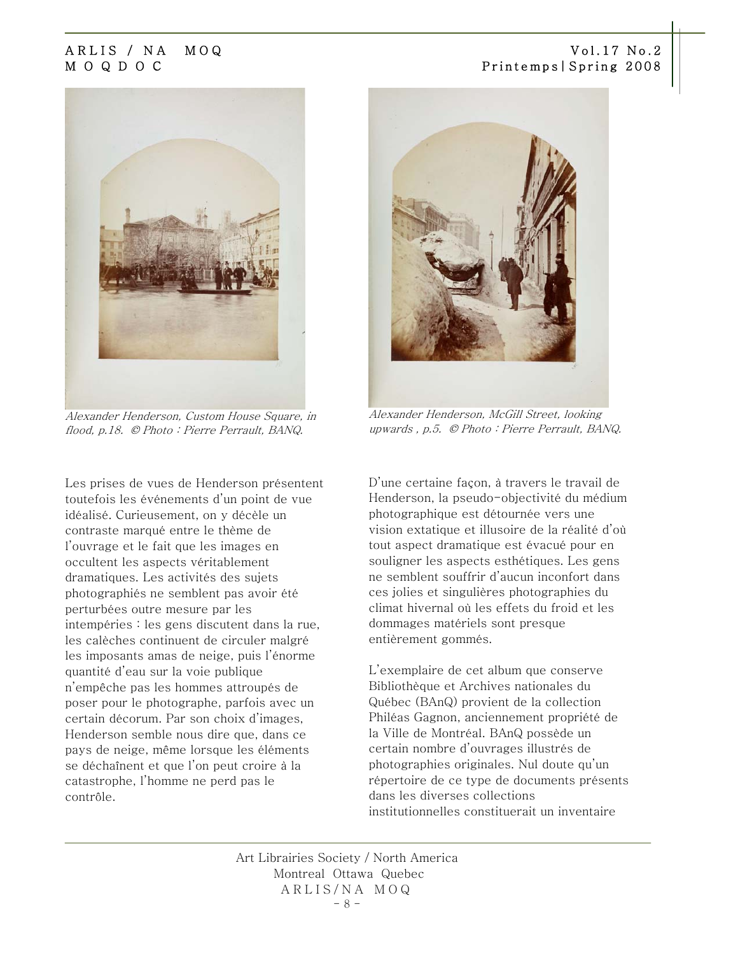

Alexander Henderson, Custom House Square, in flood, p.18. © Photo : Pierre Perrault, BANQ.

Les prises de vues de Henderson présentent toutefois les événements d'un point de vue idéalisé. Curieusement, on y décèle un contraste marqué entre le thème de l'ouvrage et le fait que les images en occultent les aspects véritablement dramatiques. Les activités des sujets photographiés ne semblent pas avoir été perturbées outre mesure par les intempéries : les gens discutent dans la rue, les calèches continuent de circuler malgré les imposants amas de neige, puis l'énorme quantité d'eau sur la voie publique n'empêche pas les hommes attroupés de poser pour le photographe, parfois avec un certain décorum. Par son choix d'images, Henderson semble nous dire que, dans ce pays de neige, même lorsque les éléments se déchaînent et que l'on peut croire à la catastrophe, l'homme ne perd pas le contrôle.



Alexander Henderson, McGill Street, looking upwards , p.5. © Photo : Pierre Perrault, BANQ.

D'une certaine façon, à travers le travail de Henderson, la pseudo-objectivité du médium photographique est détournée vers une vision extatique et illusoire de la réalité d'où tout aspect dramatique est évacué pour en souligner les aspects esthétiques. Les gens ne semblent souffrir d'aucun inconfort dans ces jolies et singulières photographies du climat hivernal où les effets du froid et les dommages matériels sont presque entièrement gommés.

L'exemplaire de cet album que conserve Bibliothèque et Archives nationales du Québec (BAnQ) provient de la collection Philéas Gagnon, anciennement propriété de la Ville de Montréal. BAnQ possède un certain nombre d'ouvrages illustrés de photographies originales. Nul doute qu'un répertoire de ce type de documents présents dans les diverses collections institutionnelles constituerait un inventaire

Art Librairies Society / North America Montreal Ottawa Quebec ARLIS/NA MOQ  $- 8 -$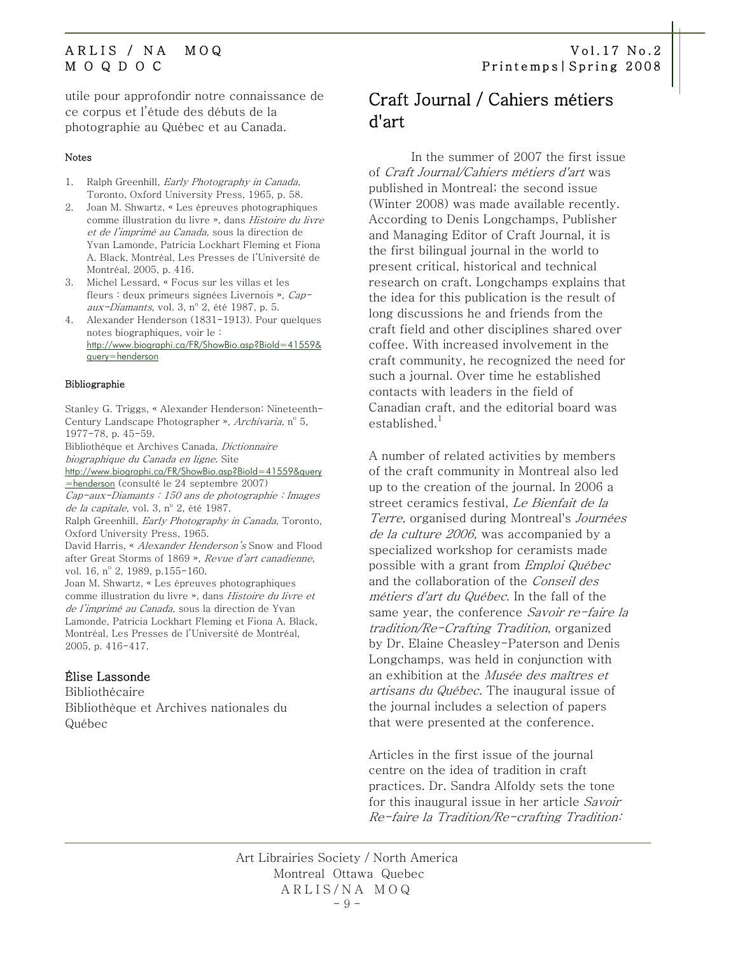<span id="page-8-0"></span>utile pour approfondir notre connaissance de ce corpus et l'étude des débuts de la photographie au Québec et au Canada.

### Notes

- 1. Ralph Greenhill, Early Photography in Canada, Toronto, Oxford University Press, 1965, p. 58.
- 2. Joan M. Shwartz, « Les épreuves photographiques comme illustration du livre », dans Histoire du livre et de l'imprimé au Canada, sous la direction de Yvan Lamonde, Patricia Lockhart Fleming et Fiona A. Black, Montréal, Les Presses de l'Université de Montréal, 2005, p. 416.
- 3. Michel Lessard, « Focus sur les villas et les fleurs : deux primeurs signées Livernois », Capaux-Diamants, vol. 3, nº 2, été 1987, p. 5.
- 4. Alexander Henderson (1831-1913). Pour quelques notes biographiques, voir le : [http://www.biographi.ca/FR/ShowBio.asp?BioId=41559&](http://www.biographi.ca/FR/ShowBio.asp?BioId=41559&query=henderson) [query=henderson](http://www.biographi.ca/FR/ShowBio.asp?BioId=41559&query=henderson)

### Bibliographie

Stanley G. Triggs, « Alexander Henderson: Nineteenth-Century Landscape Photographer », *Archivaria*, n° 5, 1977-78, p. 45-59.

Bibliothèque et Archives Canada, Dictionnaire biographique du Canada en ligne. Site

[http://www.biographi.ca/FR/ShowBio.asp?BioId=41559&query](http://www.biographi.ca/FR/ShowBio.asp?BioId=41559&query=henderson) [=henderson](http://www.biographi.ca/FR/ShowBio.asp?BioId=41559&query=henderson) (consulté le 24 septembre 2007) Cap-aux-Diamants : 150 ans de photographie : Images de la capitale, vol. 3, nº 2, été 1987. Ralph Greenhill, Early Photography in Canada, Toronto, Oxford University Press, 1965.

David Harris, « Alexander Henderson's Snow and Flood after Great Storms of 1869 », Revue d'art canadienne, vol. 16, nº 2, 1989, p.155-160.

Joan M. Shwartz, « Les épreuves photographiques comme illustration du livre », dans Histoire du livre et de l'imprimé au Canada, sous la direction de Yvan Lamonde, Patricia Lockhart Fleming et Fiona A. Black, Montréal, Les Presses de l'Université de Montréal, 2005, p. 416-417.

### Élise Lassonde

Bibliothécaire Bibliothèque et Archives nationales du Québec

# Craft Journal / Cahiers métiers d'art

In the summer of 2007 the first issue of Craft Journal/Cahiers métiers d'art was published in Montreal; the second issue (Winter 2008) was made available recently. According to Denis Longchamps, Publisher and Managing Editor of Craft Journal, it is the first bilingual journal in the world to present critical, historical and technical research on craft. Longchamps explains that the idea for this publication is the result of long discussions he and friends from the craft field and other disciplines shared over coffee. With increased involvement in the craft community, he recognized the need for such a journal. Over time he established contacts with leaders in the field of Canadian craft, and the editorial board was established. $^1$ 

A number of related activities by members of the craft community in Montreal also led up to the creation of the journal. In 2006 a street ceramics festival, Le Bienfait de la Terre, organised during Montreal's Journées de la culture 2006, was accompanied by a specialized workshop for ceramists made possible with a grant from Emploi Québec and the collaboration of the Conseil des métiers d'art du Québec. In the fall of the same year, the conference Savoir re-faire la tradition/Re-Crafting Tradition, organized by Dr. Elaine Cheasley-Paterson and Denis Longchamps, was held in conjunction with an exhibition at the Musée des maîtres et artisans du Québec. The inaugural issue of the journal includes a selection of papers that were presented at the conference.

Articles in the first issue of the journal centre on the idea of tradition in craft practices. Dr. Sandra Alfoldy sets the tone for this inaugural issue in her article Savoir Re-faire la Tradition/Re-crafting Tradition:

Art Librairies Society / North America Montreal Ottawa Quebec ARLIS/NA MOQ  $-9 -$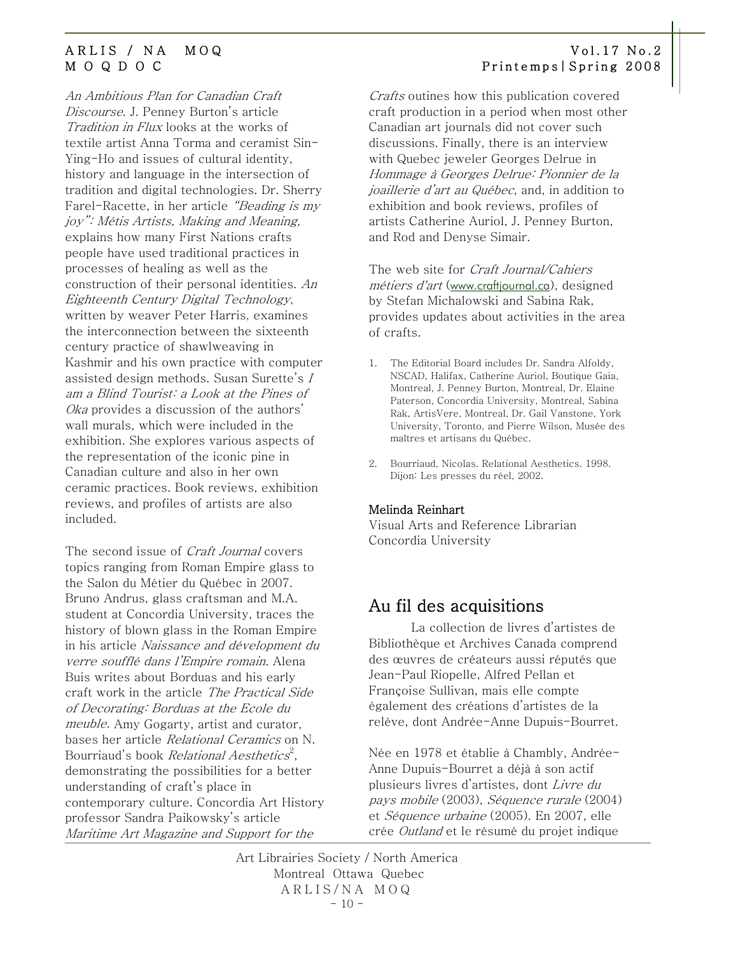<span id="page-9-0"></span>An Ambitious Plan for Canadian Craft Discourse. J. Penney Burton's article Tradition in Flux looks at the works of textile artist Anna Torma and ceramist Sin-Ying-Ho and issues of cultural identity, history and language in the intersection of tradition and digital technologies. Dr. Sherry Farel-Racette, in her article "Beading is my joy": Métis Artists, Making and Meaning, explains how many First Nations crafts people have used traditional practices in processes of healing as well as the construction of their personal identities. An Eighteenth Century Digital Technology, written by weaver Peter Harris, examines the interconnection between the sixteenth century practice of shawlweaving in Kashmir and his own practice with computer assisted design methods. Susan Surette's I am a Blind Tourist: a Look at the Pines of Oka provides a discussion of the authors' wall murals, which were included in the exhibition. She explores various aspects of the representation of the iconic pine in Canadian culture and also in her own ceramic practices. Book reviews, exhibition reviews, and profiles of artists are also included.

The second issue of *Craft Journal* covers topics ranging from Roman Empire glass to the Salon du Métier du Québec in 2007. Bruno Andrus, glass craftsman and M.A. student at Concordia University, traces the history of blown glass in the Roman Empire in his article Naissance and dévelopment du verre soufflé dans l'Empire romain. Alena Buis writes about Borduas and his early craft work in the article The Practical Side of Decorating: Borduas at the Ecole du meuble. Amy Gogarty, artist and curator, bases her article Relational Ceramics on N. Bourriaud's book *Relational Aesthetics<sup>2</sup>,* demonstrating the possibilities for a better understanding of craft's place in contemporary culture. Concordia Art History professor Sandra Paikowsky's article Maritime Art Magazine and Support for the

Crafts outines how this publication covered craft production in a period when most other Canadian art journals did not cover such discussions. Finally, there is an interview with Quebec jeweler Georges Delrue in Hommage à Georges Delrue: Pionnier de la joaillerie d'art au Québec, and, in addition to exhibition and book reviews, profiles of artists Catherine Auriol, J. Penney Burton, and Rod and Denyse Simair.

The web site for *Craft Journal/Cahiers* métiers d'art ([www.craftjournal.ca](http://www.craftjournal.ca/)), designed by Stefan Michalowski and Sabina Rak, provides updates about activities in the area of crafts.

- 1. The Editorial Board includes Dr. Sandra Alfoldy, NSCAD, Halifax, Catherine Auriol, Boutique Gaia, Montreal, J. Penney Burton, Montreal, Dr. Elaine Paterson, Concordia University, Montreal, Sabina Rak, ArtisVere, Montreal, Dr. Gail Vanstone, York University, Toronto, and Pierre Wilson, Musée des maîtres et artisans du Québec.
- 2. Bourriaud, Nicolas. Relational Aesthetics. 1998. Dijon: Les presses du réel, 2002.

### Melinda Reinhart

Visual Arts and Reference Librarian Concordia University

### Au fil des acquisitions

La collection de livres d'artistes de Bibliothèque et Archives Canada comprend des œuvres de créateurs aussi réputés que Jean-Paul Riopelle, Alfred Pellan et Françoise Sullivan, mais elle compte également des créations d'artistes de la relève, dont Andrée-Anne Dupuis-Bourret.

Née en 1978 et établie à Chambly, Andrée-Anne Dupuis-Bourret a déjà à son actif plusieurs livres d'artistes, dont Livre du pays mobile (2003), Séquence rurale (2004) et Séquence urbaine (2005). En 2007, elle crée Outland et le résumé du projet indique

Art Librairies Society / North America Montreal Ottawa Quebec ARLIS/NA MOQ  $-10 -$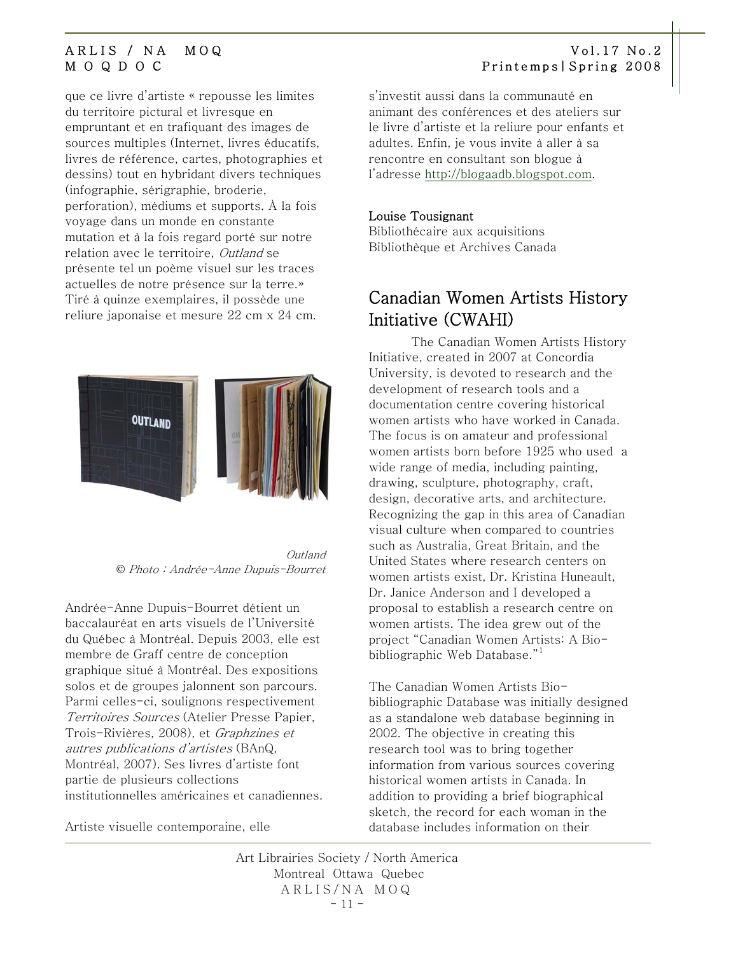que ce livre d'artiste « repousse les limites du territoire pictural et livresque en empruntant et en trafiquant des images de sources multiples (Internet, livres éducatifs, livres de référence, cartes, photographies et dessins) tout en hybridant divers techniques (infographie, sérigraphie, broderie, perforation), médiums et supports. À la fois voyage dans un monde en constante mutation et à la fois regard porté sur notre relation avec le territoire, Outland se présente tel un poème visuel sur les traces actuelles de notre présence sur la terre.» Tiré à quinze exemplaires, il possède une reliure japonaise et mesure 22 cm x 24 cm.



 Outland © Photo : Andrée-Anne Dupuis-Bourret

Andrée-Anne Dupuis-Bourret détient un baccalauréat en arts visuels de l'Université du Québec à Montréal. Depuis 2003, elle est membre de Graff centre de conception graphique situé à Montréal. Des expositions solos et de groupes jalonnent son parcours. Parmi celles-ci, soulignons respectivement Territoires Sources (Atelier Presse Papier, Trois-Rivières, 2008), et Graphzines et autres publications d'artistes (BAnQ, Montréal, 2007). Ses livres d'artiste font partie de plusieurs collections institutionnelles américaines et canadiennes.

Artiste visuelle contemporaine, elle

### <span id="page-10-0"></span>ARLIS / NA MOQ Vol.17 No.2 M O Q D O C Printemps|Spring 2008

s'investit aussi dans la communauté en animant des conférences et des ateliers sur le livre d'artiste et la reliure pour enfants et adultes. Enfin, je vous invite à aller à sa rencontre en consultant son blogue à l'adresse [http://blogaadb.blogspot.com](http://blogaadb.blogspot.com/).

### Louise Tousignant

Bibliothécaire aux acquisitions Bibliothèque et Archives Canada

# Canadian Women Artists History Initiative (CWAHI)

The Canadian Women Artists History Initiative, created in 2007 at Concordia University, is devoted to research and the development of research tools and a documentation centre covering historical women artists who have worked in Canada. The focus is on amateur and professional women artists born before 1925 who used a wide range of media, including painting, drawing, sculpture, photography, craft, design, decorative arts, and architecture. Recognizing the gap in this area of Canadian visual culture when compared to countries such as Australia, Great Britain, and the United States where research centers on women artists exist, Dr. Kristina Huneault, Dr. Janice Anderson and I developed a proposal to establish a research centre on women artists. The idea grew out of the project "Canadian Women Artists: A Biobibliographic Web Database." $^{\rm 1}$ 

The Canadian Women Artists Biobibliographic Database was initially designed as a standalone web database beginning in 2002. The objective in creating this research tool was to bring together information from various sources covering historical women artists in Canada. In addition to providing a brief biographical sketch, the record for each woman in the database includes information on their

Art Librairies Society / North America Montreal Ottawa Quebec ARLIS/NA MOQ  $-11 -$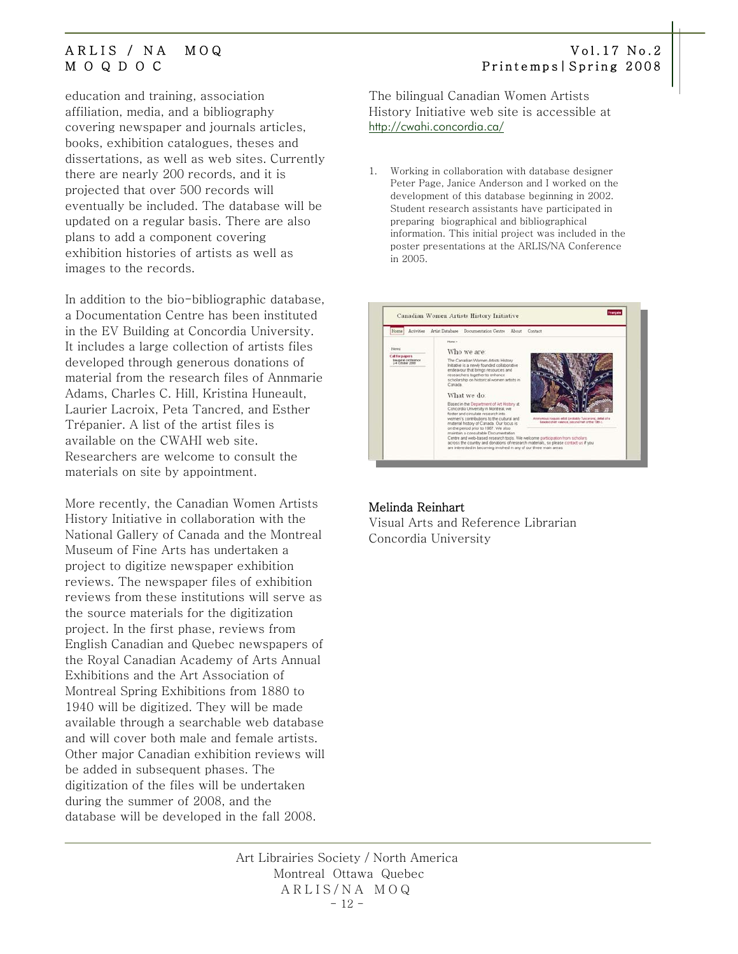education and training, association affiliation, media, and a bibliography covering newspaper and journals articles, books, exhibition catalogues, theses and dissertations, as well as web sites. Currently there are nearly 200 records, and it is projected that over 500 records will eventually be included. The database will be updated on a regular basis. There are also plans to add a component covering exhibition histories of artists as well as images to the records.

In addition to the bio-bibliographic database, a Documentation Centre has been instituted in the EV Building at Concordia University. It includes a large collection of artists files developed through generous donations of material from the research files of Annmarie Adams, Charles C. Hill, Kristina Huneault, Laurier Lacroix, Peta Tancred, and Esther Trépanier. A list of the artist files is available on the CWAHI web site. Researchers are welcome to consult the materials on site by appointment.

More recently, the Canadian Women Artists History Initiative in collaboration with the National Gallery of Canada and the Montreal Museum of Fine Arts has undertaken a project to digitize newspaper exhibition reviews. The newspaper files of exhibition reviews from these institutions will serve as the source materials for the digitization project. In the first phase, reviews from English Canadian and Quebec newspapers of the Royal Canadian Academy of Arts Annual Exhibitions and the Art Association of Montreal Spring Exhibitions from 1880 to 1940 will be digitized. They will be made available through a searchable web database and will cover both male and female artists. Other major Canadian exhibition reviews will be added in subsequent phases. The digitization of the files will be undertaken during the summer of 2008, and the database will be developed in the fall 2008.

The bilingual Canadian Women Artists History Initiative web site is accessible at <http://cwahi.concordia.ca/>

1. Working in collaboration with database designer Peter Page, Janice Anderson and I worked on the development of this database beginning in 2002. Student research assistants have participated in preparing biographical and bibliographical information. This initial project was included in the poster presentations at the ARLIS/NA Conference in 2005.



### Melinda Reinhart

Visual Arts and Reference Librarian Concordia University

Art Librairies Society / North America Montreal Ottawa Quebec ARLIS/NA MOQ  $-12 -$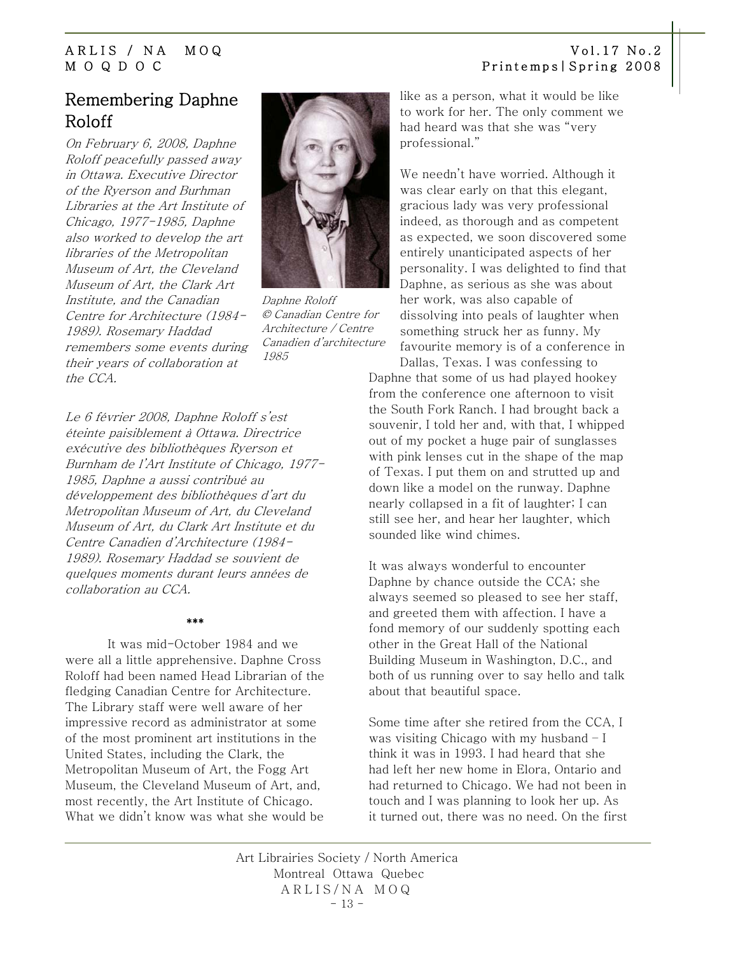# <span id="page-12-0"></span>Remembering Daphne Roloff

On February 6, 2008, Daphne Roloff peacefully passed away in Ottawa. Executive Director of the Ryerson and Burhman Libraries at the Art Institute of Chicago, 1977-1985, Daphne also worked to develop the art libraries of the Metropolitan Museum of Art, the Cleveland Museum of Art, the Clark Art Institute, and the Canadian Centre for Architecture (1984- 1989). Rosemary Haddad remembers some events during their years of collaboration at the CCA.



Daphne Roloff © Canadian Centre for Architecture / Centre Canadien d'architecture 1985

Le 6 février 2008, Daphne Roloff s'est éteinte paisiblement à Ottawa. Directrice exécutive des bibliothèques Ryerson et Burnham de l'Art Institute of Chicago, 1977- 1985, Daphne a aussi contribué au développement des bibliothèques d'art du Metropolitan Museum of Art, du Cleveland Museum of Art, du Clark Art Institute et du Centre Canadien d'Architecture (1984- 1989). Rosemary Haddad se souvient de quelques moments durant leurs années de collaboration au CCA.

### \*\*\*

It was mid-October 1984 and we were all a little apprehensive. Daphne Cross Roloff had been named Head Librarian of the fledging Canadian Centre for Architecture. The Library staff were well aware of her impressive record as administrator at some of the most prominent art institutions in the United States, including the Clark, the Metropolitan Museum of Art, the Fogg Art Museum, the Cleveland Museum of Art, and, most recently, the Art Institute of Chicago. What we didn't know was what she would be

like as a person, what it would be like to work for her. The only comment we had heard was that she was "very professional."

We needn't have worried. Although it was clear early on that this elegant, gracious lady was very professional indeed, as thorough and as competent as expected, we soon discovered some entirely unanticipated aspects of her personality. I was delighted to find that Daphne, as serious as she was about her work, was also capable of dissolving into peals of laughter when something struck her as funny. My favourite memory is of a conference in

Dallas, Texas. I was confessing to Daphne that some of us had played hookey from the conference one afternoon to visit the South Fork Ranch. I had brought back a souvenir, I told her and, with that, I whipped out of my pocket a huge pair of sunglasses with pink lenses cut in the shape of the map of Texas. I put them on and strutted up and down like a model on the runway. Daphne nearly collapsed in a fit of laughter; I can still see her, and hear her laughter, which sounded like wind chimes.

It was always wonderful to encounter Daphne by chance outside the CCA; she always seemed so pleased to see her staff, and greeted them with affection. I have a fond memory of our suddenly spotting each other in the Great Hall of the National Building Museum in Washington, D.C., and both of us running over to say hello and talk about that beautiful space.

Some time after she retired from the CCA, I was visiting Chicago with my husband – I think it was in 1993. I had heard that she had left her new home in Elora, Ontario and had returned to Chicago. We had not been in touch and I was planning to look her up. As it turned out, there was no need. On the first

Art Librairies Society / North America Montreal Ottawa Quebec ARLIS/NA MOQ  $-13 -$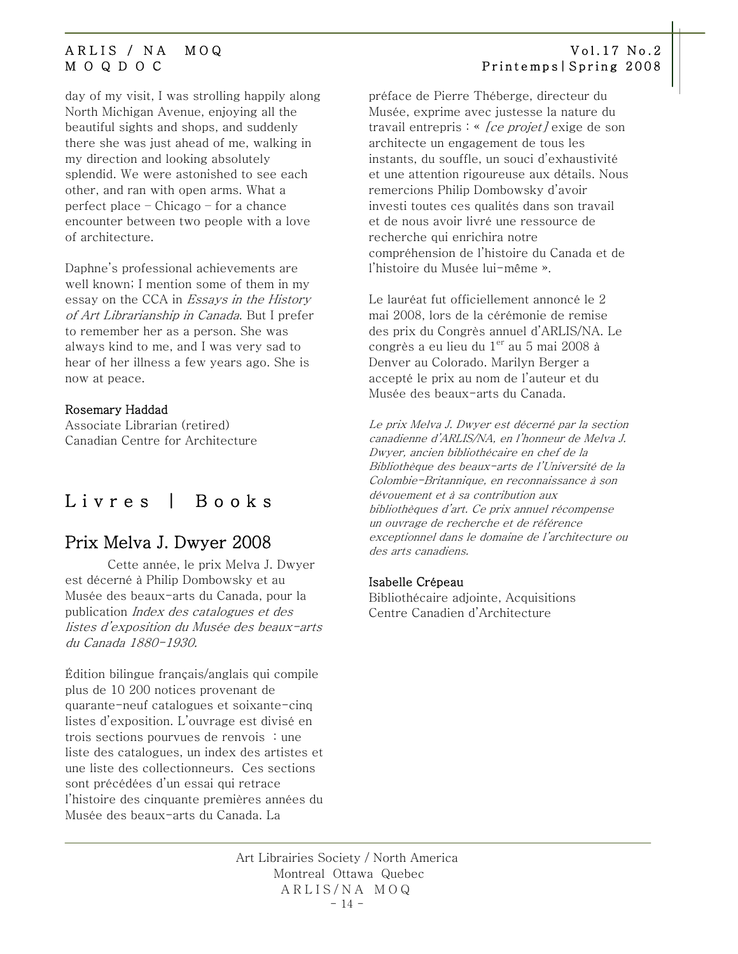day of my visit, I was strolling happily along North Michigan Avenue, enjoying all the beautiful sights and shops, and suddenly there she was just ahead of me, walking in my direction and looking absolutely splendid. We were astonished to see each other, and ran with open arms. What a perfect place – Chicago – for a chance encounter between two people with a love of architecture.

Daphne's professional achievements are well known; I mention some of them in my essay on the CCA in Essays in the History of Art Librarianship in Canada. But I prefer to remember her as a person. She was always kind to me, and I was very sad to hear of her illness a few years ago. She is now at peace.

### Rosemary Haddad

Associate Librarian (retired) Canadian Centre for Architecture

# Livres | Books

## Prix Melva J. Dwyer 2008

Cette année, le prix Melva J. Dwyer est décerné à Philip Dombowsky et au Musée des beaux-arts du Canada, pour la publication Index des catalogues et des listes d'exposition du Musée des beaux-arts du Canada 1880-1930.

Édition bilingue français/anglais qui compile plus de 10 200 notices provenant de quarante-neuf catalogues et soixante-cinq listes d'exposition. L'ouvrage est divisé en trois sections pourvues de renvois : une liste des catalogues, un index des artistes et une liste des collectionneurs. Ces sections sont précédées d'un essai qui retrace l'histoire des cinquante premières années du Musée des beaux-arts du Canada. La

### <span id="page-13-0"></span>ARLIS / NA MOQ Vol.17 No.2 M O Q D O C Printemps|Spring 2008

préface de Pierre Théberge, directeur du Musée, exprime avec justesse la nature du travail entrepris : « [ce projet] exige de son architecte un engagement de tous les instants, du souffle, un souci d'exhaustivité et une attention rigoureuse aux détails. Nous remercions Philip Dombowsky d'avoir investi toutes ces qualités dans son travail et de nous avoir livré une ressource de recherche qui enrichira notre compréhension de l'histoire du Canada et de l'histoire du Musée lui-même ».

Le lauréat fut officiellement annoncé le 2 mai 2008, lors de la cérémonie de remise des prix du Congrès annuel d'ARLIS/NA. Le congrès a eu lieu du  $1<sup>er</sup>$  au 5 mai 2008 à Denver au Colorado. Marilyn Berger a accepté le prix au nom de l'auteur et du Musée des beaux-arts du Canada.

Le prix Melva J. Dwyer est décerné par la section canadienne d'ARLIS/NA, en l'honneur de Melva J. Dwyer, ancien bibliothécaire en chef de la Bibliothèque des beaux-arts de l'Université de la Colombie-Britannique, en reconnaissance à son dévouement et à sa contribution aux bibliothèques d'art. Ce prix annuel récompense un ouvrage de recherche et de référence exceptionnel dans le domaine de l'architecture ou des arts canadiens.

### Isabelle Crépeau

Bibliothécaire adjointe, Acquisitions Centre Canadien d'Architecture

Art Librairies Society / North America Montreal Ottawa Quebec ARLIS/NA MOQ  $-14 -$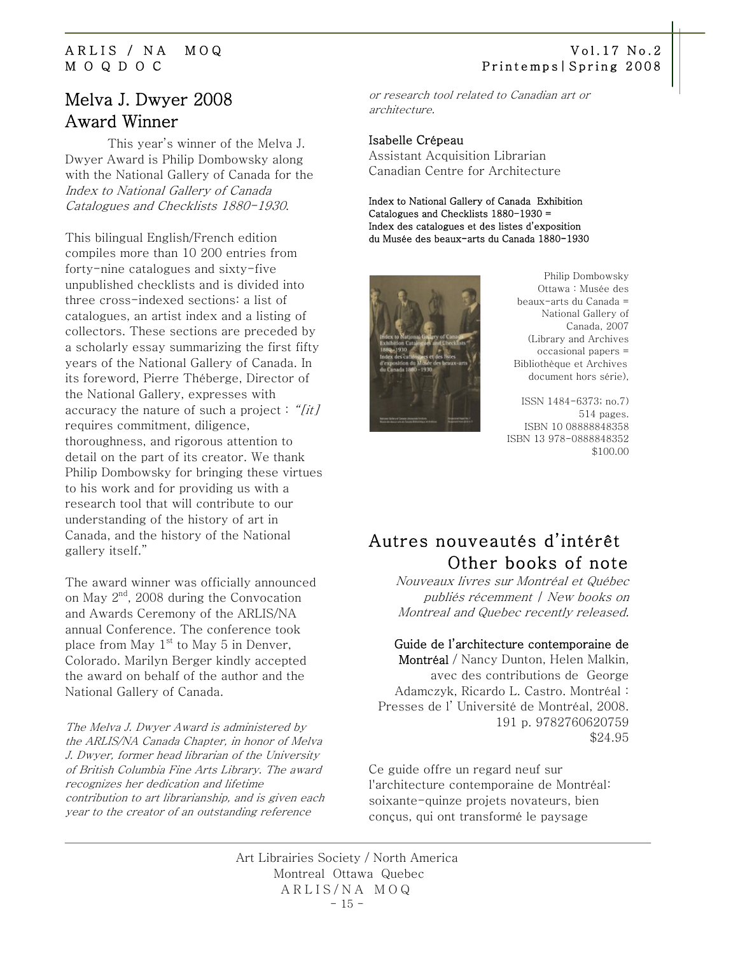# Melva J. Dwyer 2008 Award Winner

This year's winner of the Melva J. Dwyer Award is Philip Dombowsky along with the National Gallery of Canada for the Index to National Gallery of Canada Catalogues and Checklists 1880-1930.

This bilingual English/French edition compiles more than 10 200 entries from forty-nine catalogues and sixty-five unpublished checklists and is divided into three cross-indexed sections: a list of catalogues, an artist index and a listing of collectors. These sections are preceded by a scholarly essay summarizing the first fifty years of the National Gallery of Canada. In its foreword, Pierre Théberge, Director of the National Gallery, expresses with accuracy the nature of such a project : "[it] requires commitment, diligence, thoroughness, and rigorous attention to detail on the part of its creator. We thank Philip Dombowsky for bringing these virtues to his work and for providing us with a research tool that will contribute to our understanding of the history of art in Canada, and the history of the National gallery itself."

The award winner was officially announced on May  $2^{nd}$ , 2008 during the Convocation and Awards Ceremony of the ARLIS/NA annual Conference. The conference took place from May  $1<sup>st</sup>$  to May 5 in Denver, Colorado. Marilyn Berger kindly accepted the award on behalf of the author and the National Gallery of Canada.

The Melva J. Dwyer Award is administered by the ARLIS/NA Canada Chapter, in honor of Melva J. Dwyer, former head librarian of the University of British Columbia Fine Arts Library. The award recognizes her dedication and lifetime contribution to art librarianship, and is given each year to the creator of an outstanding reference

### <span id="page-14-0"></span>ARLIS / NA MOQ Vol.17 No.2 M O Q D O C Printemps|Spring 2008

or research tool related to Canadian art or architecture.

### Isabelle Crépeau

Assistant Acquisition Librarian Canadian Centre for Architecture

Index to National Gallery of Canada Exhibition Catalogues and Checklists 1880-1930 = Index des catalogues et des listes d'exposition du Musée des beaux-arts du Canada 1880-1930



 Philip Dombowsky Ottawa : Musée des beaux-arts du Canada = National Gallery of Canada, 2007 (Library and Archives occasional papers = Bibliothèque et Archives document hors série),

ISSN 1484-6373; no.7) 514 pages. ISBN 10 08888848358 ISBN 13 978-0888848352 \$100.00

# Autres nouveautés d'intérêt Other books of note

Nouveaux livres sur Montréal et Québec publiés récemment | New books on Montreal and Quebec recently released.

### Guide de l'architecture contemporaine de

Montréal / Nancy Dunton, Helen Malkin, avec des contributions de George Adamczyk, Ricardo L. Castro. Montréal : Presses de l' Université de Montréal, 2008. 191 p. 9782760620759 \$24.95

Ce guide offre un regard neuf sur l'architecture contemporaine de Montréal: soixante-quinze projets novateurs, bien conçus, qui ont transformé le paysage

Art Librairies Society / North America Montreal Ottawa Quebec ARLIS/NA MOQ  $-15 -$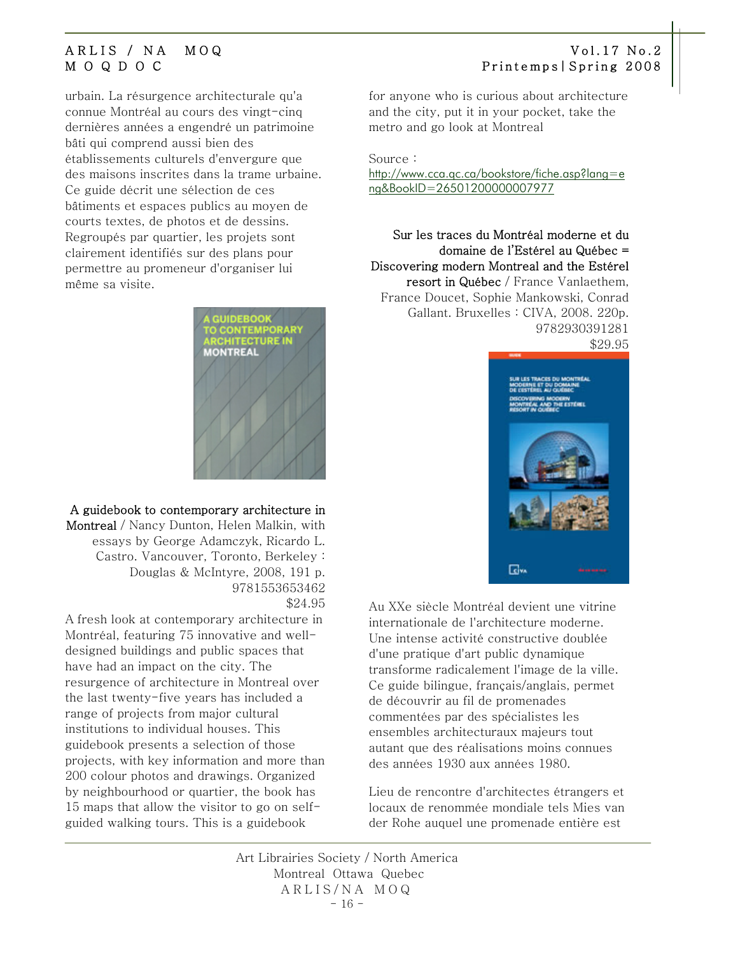urbain. La résurgence architecturale qu'a connue Montréal au cours des vingt-cinq dernières années a engendré un patrimoine bâti qui comprend aussi bien des établissements culturels d'envergure que des maisons inscrites dans la trame urbaine. Ce guide décrit une sélection de ces bâtiments et espaces publics au moyen de courts textes, de photos et de dessins. Regroupés par quartier, les projets sont clairement identifiés sur des plans pour permettre au promeneur d'organiser lui même sa visite.



### A guidebook to contemporary architecture in Montreal / Nancy Dunton, Helen Malkin, with essays by George Adamczyk, Ricardo L.

Castro. Vancouver, Toronto, Berkeley : Douglas & McIntyre, 2008, 191 p. 9781553653462 \$24.95

A fresh look at contemporary architecture in Montréal, featuring 75 innovative and welldesigned buildings and public spaces that have had an impact on the city. The resurgence of architecture in Montreal over the last twenty-five years has included a range of projects from major cultural institutions to individual houses. This guidebook presents a selection of those projects, with key information and more than 200 colour photos and drawings. Organized by neighbourhood or quartier, the book has 15 maps that allow the visitor to go on selfguided walking tours. This is a guidebook

for anyone who is curious about architecture and the city, put it in your pocket, take the metro and go look at Montreal

Source :

[http://www.cca.qc.ca/bookstore/fiche.asp?lang=e](http://www.cca.qc.ca/bookstore/fiche.asp?lang=eng&BookID=26501200000007977) [ng&BookID=26501200000007977](http://www.cca.qc.ca/bookstore/fiche.asp?lang=eng&BookID=26501200000007977)

Sur les traces du Montréal moderne et du domaine de l'Estérel au Québec = Discovering modern Montreal and the Estérel resort in Québec / France Vanlaethem, France Doucet, Sophie Mankowski, Conrad Gallant. Bruxelles : CIVA, 2008. 220p. 9782930391281 \$29.95



Au XXe siècle Montréal devient une vitrine internationale de l'architecture moderne. Une intense activité constructive doublée d'une pratique d'art public dynamique transforme radicalement l'image de la ville. Ce guide bilingue, français/anglais, permet de découvrir au fil de promenades commentées par des spécialistes les ensembles architecturaux majeurs tout autant que des réalisations moins connues des années 1930 aux années 1980.

Lieu de rencontre d'architectes étrangers et locaux de renommée mondiale tels Mies van der Rohe auquel une promenade entière est

Art Librairies Society / North America Montreal Ottawa Quebec ARLIS/NA MOQ  $-16 -$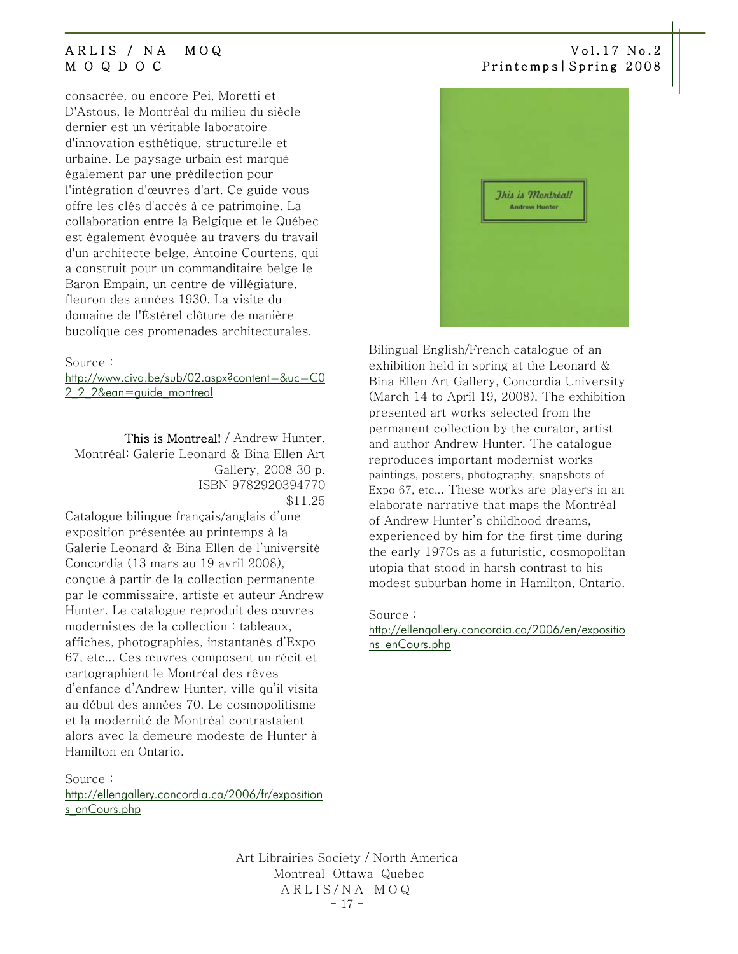consacrée, ou encore Pei, Moretti et D'Astous, le Montréal du milieu du siècle dernier est un véritable laboratoire d'innovation esthétique, structurelle et urbaine. Le paysage urbain est marqué également par une prédilection pour l'intégration d'œuvres d'art. Ce guide vous offre les clés d'accès à ce patrimoine. La collaboration entre la Belgique et le Québec est également évoquée au travers du travail d'un architecte belge, Antoine Courtens, qui a construit pour un commanditaire belge le Baron Empain, un centre de villégiature, fleuron des années 1930. La visite du domaine de l'Éstérel clôture de manière bucolique ces promenades architecturales.

### Source :

[http://www.civa.be/sub/02.aspx?content=&uc=C0](http://www.civa.be/sub/02.aspx?content=&uc=C02_2_2&ean=guide_montreal) [2\\_2\\_2&ean=guide\\_montreal](http://www.civa.be/sub/02.aspx?content=&uc=C02_2_2&ean=guide_montreal)

This is Montreal! / Andrew Hunter. Montréal: Galerie Leonard & Bina Ellen Art Gallery, 2008 30 p. ISBN 9782920394770 \$11.25

Catalogue bilingue français/anglais d'une exposition présentée au printemps à la Galerie Leonard & Bina Ellen de l'université Concordia (13 mars au 19 avril 2008), conçue à partir de la collection permanente par le commissaire, artiste et auteur Andrew Hunter. Le catalogue reproduit des œuvres modernistes de la collection : tableaux, affiches, photographies, instantanés d'Expo 67, etc... Ces œuvres composent un récit et cartographient le Montréal des rêves d'enfance d'Andrew Hunter, ville qu'il visita au début des années 70. Le cosmopolitisme et la modernité de Montréal contrastaient alors avec la demeure modeste de Hunter à Hamilton en Ontario.

Source :

[http://ellengallery.concordia.ca/2006/fr/exposition](http://ellengallery.concordia.ca/2006/fr/expositions_enCours.php) [s\\_enCours.php](http://ellengallery.concordia.ca/2006/fr/expositions_enCours.php)

### ARLIS / NA MOQ Vol.17 No.2 M O Q D O C Printemps|Spring 2008



Bilingual English/French catalogue of an exhibition held in spring at the Leonard & Bina Ellen Art Gallery, Concordia University (March 14 to April 19, 2008). The exhibition presented art works selected from the permanent collection by the curator, artist and author Andrew Hunter. The catalogue reproduces important modernist works paintings, posters, photography, snapshots of Expo 67, etc... These works are players in an elaborate narrative that maps the Montréal of Andrew Hunter's childhood dreams, experienced by him for the first time during the early 1970s as a futuristic, cosmopolitan utopia that stood in harsh contrast to his modest suburban home in Hamilton, Ontario.

### Source :

[http://ellengallery.concordia.ca/2006/en/expositio](http://ellengallery.concordia.ca/2006/en/expositions_enCours.php) [ns\\_enCours.php](http://ellengallery.concordia.ca/2006/en/expositions_enCours.php)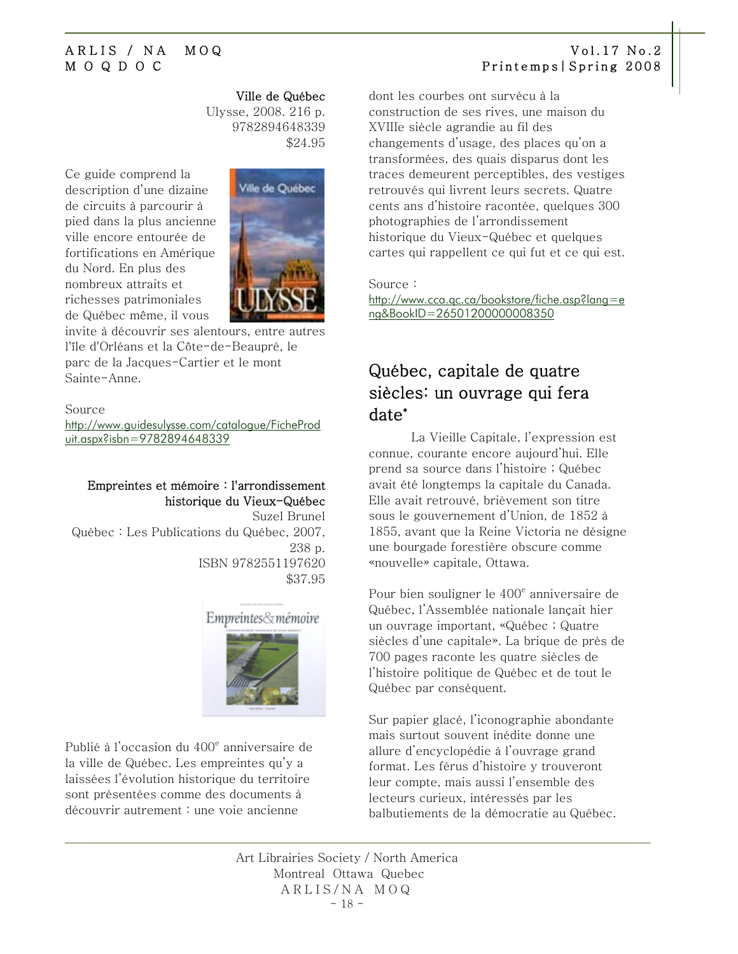Ville de Québec Ulysse, 2008. 216 p. 9782894648339 \$24.95

<span id="page-17-0"></span>Ce guide comprend la description d'une dizaine de circuits à parcourir à pied dans la plus ancienne ville encore entourée de fortifications en Amérique du Nord. En plus des nombreux attraits et richesses patrimoniales de Québec même, il vous



invite à découvrir ses alentours, entre autres l'île d'Orléans et la Côte-de-Beaupré, le parc de la Jacques-Cartier et le mont Sainte-Anne.

### Source

[http://www.guidesulysse.com/catalogue/FicheProd](http://www.guidesulysse.com/catalogue/FicheProduit.aspx?isbn=9782894648339) [uit.aspx?isbn=9782894648339](http://www.guidesulysse.com/catalogue/FicheProduit.aspx?isbn=9782894648339) 

### Empreintes et mémoire : l'arrondissement historique du Vieux-Québec

 Suzel Brunel Québec : Les Publications du Québec, 2007, 238 p. ISBN 9782551197620 \$37.95



Publié à l'occasion du 400<sup>e</sup> anniversaire de la ville de Québec. Les empreintes qu'y a laissées l'évolution historique du territoire sont présentées comme des documents à découvrir autrement : une voie ancienne

dont les courbes ont survécu à la construction de ses rives, une maison du XVIIIe siècle agrandie au fil des changements d'usage, des places qu'on a transformées, des quais disparus dont les traces demeurent perceptibles, des vestiges retrouvés qui livrent leurs secrets. Quatre cents ans d'histoire racontée, quelques 300 photographies de l'arrondissement historique du Vieux-Québec et quelques cartes qui rappellent ce qui fut et ce qui est.

Source :

[http://www.cca.qc.ca/bookstore/fiche.asp?lang=e](http://www.cca.qc.ca/bookstore/fiche.asp?lang=eng&BookID=26501200000008350) [ng&BookID=26501200000008350](http://www.cca.qc.ca/bookstore/fiche.asp?lang=eng&BookID=26501200000008350) 

# Québec, capitale de quatre siècles: un ouvrage qui fera date\*

La Vieille Capitale, l'expression est connue, courante encore aujourd'hui. Elle prend sa source dans l'histoire ; Québec avait été longtemps la capitale du Canada. Elle avait retrouvé, brièvement son titre sous le gouvernement d'Union, de 1852 à 1855, avant que la Reine Victoria ne désigne une bourgade forestière obscure comme «nouvelle» capitale, Ottawa.

Pour bien souligner le 400<sup>e</sup> anniversaire de Québec, l'Assemblée nationale lançait hier un ouvrage important, «Québec ; Quatre siècles d'une capitale». La brique de près de 700 pages raconte les quatre siècles de l'histoire politique de Québec et de tout le Québec par conséquent.

Sur papier glacé, l'iconographie abondante mais surtout souvent inédite donne une allure d'encyclopédie à l'ouvrage grand format. Les férus d'histoire y trouveront leur compte, mais aussi l'ensemble des lecteurs curieux, intéressés par les balbutiements de la démocratie au Québec.

Art Librairies Society / North America Montreal Ottawa Quebec ARLIS/NA MOQ  $-18 -$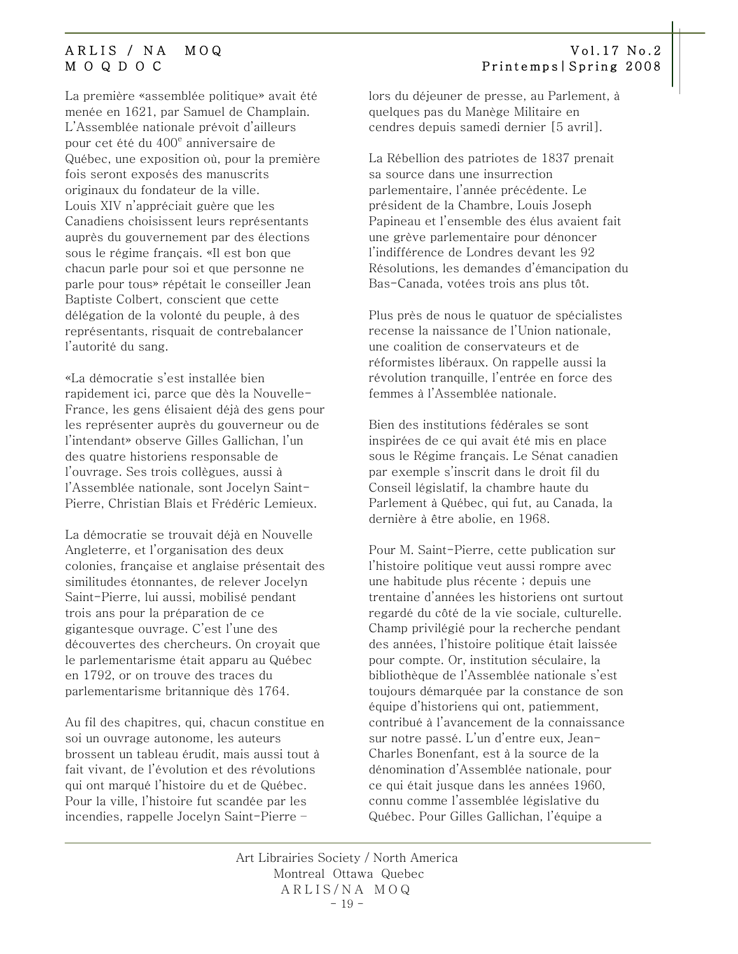La première «assemblée politique» avait été menée en 1621, par Samuel de Champlain. L'Assemblée nationale prévoit d'ailleurs pour cet été du 400<sup>e</sup> anniversaire de Québec, une exposition où, pour la première fois seront exposés des manuscrits originaux du fondateur de la ville. Louis XIV n'appréciait guère que les Canadiens choisissent leurs représentants auprès du gouvernement par des élections sous le régime français. «Il est bon que chacun parle pour soi et que personne ne parle pour tous» répétait le conseiller Jean Baptiste Colbert, conscient que cette délégation de la volonté du peuple, à des représentants, risquait de contrebalancer l'autorité du sang.

«La démocratie s'est installée bien rapidement ici, parce que dès la Nouvelle-France, les gens élisaient déjà des gens pour les représenter auprès du gouverneur ou de l'intendant» observe Gilles Gallichan, l'un des quatre historiens responsable de l'ouvrage. Ses trois collègues, aussi à l'Assemblée nationale, sont Jocelyn Saint-Pierre, Christian Blais et Frédéric Lemieux.

La démocratie se trouvait déjà en Nouvelle Angleterre, et l'organisation des deux colonies, française et anglaise présentait des similitudes étonnantes, de relever Jocelyn Saint-Pierre, lui aussi, mobilisé pendant trois ans pour la préparation de ce gigantesque ouvrage. C'est l'une des découvertes des chercheurs. On croyait que le parlementarisme était apparu au Québec en 1792, or on trouve des traces du parlementarisme britannique dès 1764.

Au fil des chapitres, qui, chacun constitue en soi un ouvrage autonome, les auteurs brossent un tableau érudit, mais aussi tout à fait vivant, de l'évolution et des révolutions qui ont marqué l'histoire du et de Québec. Pour la ville, l'histoire fut scandée par les incendies, rappelle Jocelyn Saint-Pierre –

lors du déjeuner de presse, au Parlement, à quelques pas du Manège Militaire en cendres depuis samedi dernier [5 avril].

La Rébellion des patriotes de 1837 prenait sa source dans une insurrection parlementaire, l'année précédente. Le président de la Chambre, Louis Joseph Papineau et l'ensemble des élus avaient fait une grève parlementaire pour dénoncer l'indifférence de Londres devant les 92 Résolutions, les demandes d'émancipation du Bas-Canada, votées trois ans plus tôt.

Plus près de nous le quatuor de spécialistes recense la naissance de l'Union nationale, une coalition de conservateurs et de réformistes libéraux. On rappelle aussi la révolution tranquille, l'entrée en force des femmes à l'Assemblée nationale.

Bien des institutions fédérales se sont inspirées de ce qui avait été mis en place sous le Régime français. Le Sénat canadien par exemple s'inscrit dans le droit fil du Conseil législatif, la chambre haute du Parlement à Québec, qui fut, au Canada, la dernière à être abolie, en 1968.

Pour M. Saint-Pierre, cette publication sur l'histoire politique veut aussi rompre avec une habitude plus récente ; depuis une trentaine d'années les historiens ont surtout regardé du côté de la vie sociale, culturelle. Champ privilégié pour la recherche pendant des années, l'histoire politique était laissée pour compte. Or, institution séculaire, la bibliothèque de l'Assemblée nationale s'est toujours démarquée par la constance de son équipe d'historiens qui ont, patiemment, contribué à l'avancement de la connaissance sur notre passé. L'un d'entre eux, Jean-Charles Bonenfant, est à la source de la dénomination d'Assemblée nationale, pour ce qui était jusque dans les années 1960, connu comme l'assemblée législative du Québec. Pour Gilles Gallichan, l'équipe a

Art Librairies Society / North America Montreal Ottawa Quebec ARLIS/NA MOQ  $-19 -$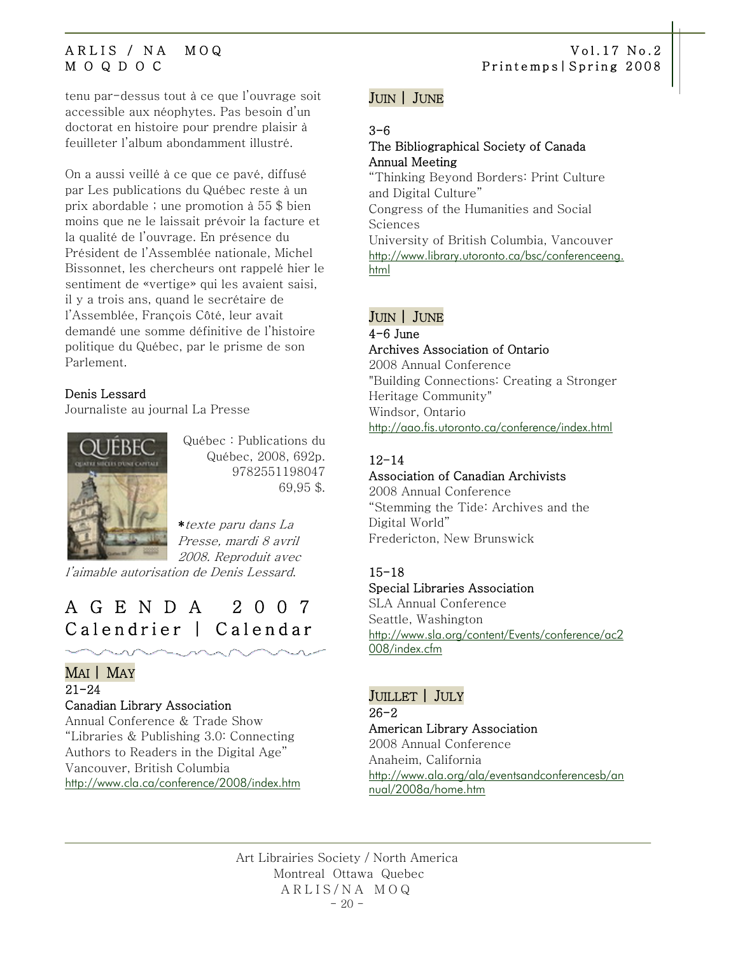<span id="page-19-0"></span>tenu par-dessus tout à ce que l'ouvrage soit accessible aux néophytes. Pas besoin d'un doctorat en histoire pour prendre plaisir à feuilleter l'album abondamment illustré.

On a aussi veillé à ce que ce pavé, diffusé par Les publications du Québec reste à un prix abordable ; une promotion à 55 \$ bien moins que ne le laissait prévoir la facture et la qualité de l'ouvrage. En présence du Président de l'Assemblée nationale, Michel Bissonnet, les chercheurs ont rappelé hier le sentiment de «vertige» qui les avaient saisi, il y a trois ans, quand le secrétaire de l'Assemblée, François Côté, leur avait demandé une somme définitive de l'histoire politique du Québec, par le prisme de son Parlement.

### [Denis Lessard](mailto:dlessard@lapresse.ca)

Journaliste au journal La Presse



Québec : Publications du Québec, 2008, 692p. 9782551198047 69,95 \$.

\*texte paru dans La Presse, mardi 8 avril 2008. Reproduit avec

l'aimable autorisation de Denis Lessard.

# AGENDA 2007 Calendrier | Calendar

### MAI | MAY

### 21-24

### Canadian Library Association

Annual Conference & Trade Show "Libraries & Publishing 3.0: Connecting Authors to Readers in the Digital Age" Vancouver, British Columbia <http://www.cla.ca/conference/2008/index.htm>

### JUIN | JUNE

### 3-6

### The Bibliographical Society of Canada Annual Meeting

"Thinking Beyond Borders: Print Culture and Digital Culture" Congress of the Humanities and Social Sciences University of British Columbia, Vancouver [http://www.library.utoronto.ca/bsc/conferenceeng.](http://www.library.utoronto.ca/bsc/conferenceeng.html) [html](http://www.library.utoronto.ca/bsc/conferenceeng.html)

### JUIN | JUNE

### 4-6 June Archives Association of Ontario 2008 Annual Conference "Building Connections: Creating a Stronger Heritage Community" Windsor, Ontario <http://aao.fis.utoronto.ca/conference/index.html>

### 12-14

### Association of Canadian Archivists

2008 Annual Conference "Stemming the Tide: Archives and the Digital World" Fredericton, New Brunswick

### 15-18 Special Libraries Association

SLA Annual Conference Seattle, Washington [http://www.sla.org/content/Events/conference/ac2](http://www.sla.org/content/Events/conference/ac2008/index.cfm)

[008/index.cfm](http://www.sla.org/content/Events/conference/ac2008/index.cfm)

### JUILLET | JULY

26-2 American Library Association 2008 Annual Conference Anaheim, California [http://www.ala.org/ala/eventsandconferencesb/an](http://www.ala.org/ala/eventsandconferencesb/annual/2008a/home.htm) [nual/2008a/home.htm](http://www.ala.org/ala/eventsandconferencesb/annual/2008a/home.htm)

Art Librairies Society / North America Montreal Ottawa Quebec ARLIS/NA MOQ  $-20 -$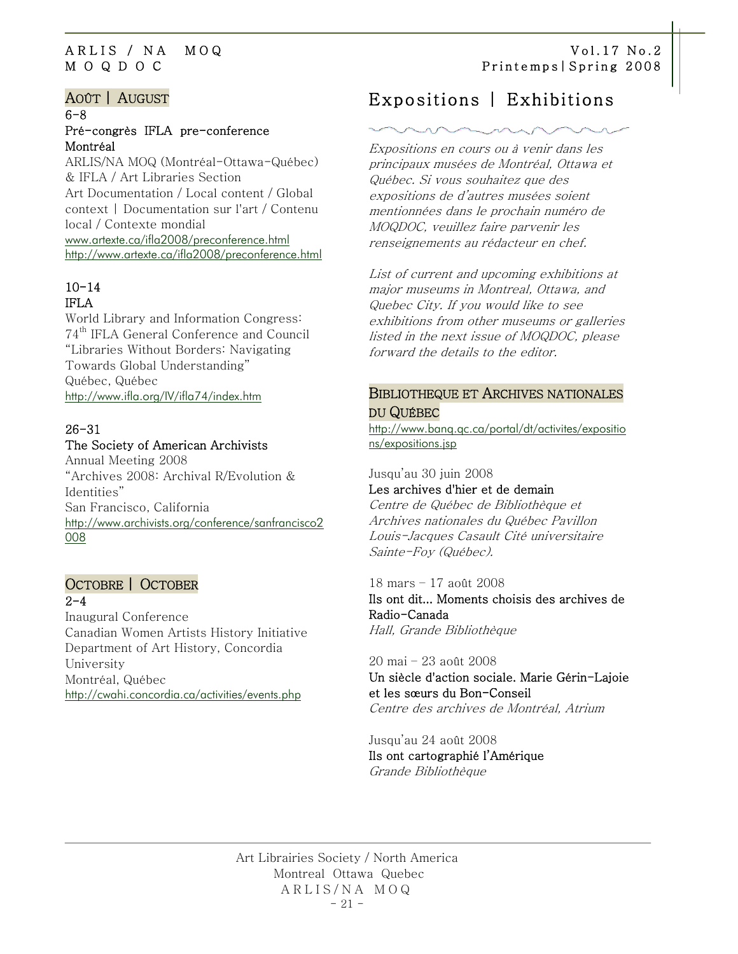### AOÛT | AUGUST

### 6-8 Pré-congrès IFLA pre-conference Montréal

ARLIS/NA MOQ (Montréal-Ottawa-Québec) & IFLA / Art Libraries Section Art Documentation / Local content / Global context | Documentation sur l'art / Contenu local / Contexte mondial [www.artexte.ca/ifla2008/preconference.html](http://www.artexte.ca/ifla2008/preconference.html) <http://www.artexte.ca/ifla2008/preconference.html>

### $10 - 14$ IFLA

World Library and Information Congress: 74th IFLA General Conference and Council "Libraries Without Borders: Navigating Towards Global Understanding" Québec, Québec <http://www.ifla.org/IV/ifla74/index.htm>

### 26-31 The Society of American Archivists

Annual Meeting 2008 "Archives 2008: Archival R/Evolution & Identities" San Francisco, California [http://www.archivists.org/conference/sanfrancisco2](http://www.archivists.org/conference/sanfrancisco2008) [008](http://www.archivists.org/conference/sanfrancisco2008)

## OCTOBRE | OCTOBER  $2 - 4$

Inaugural Conference Canadian Women Artists History Initiative Department of Art History, Concordia University Montréal, Québec <http://cwahi.concordia.ca/activities/events.php>

### <span id="page-20-0"></span>ARLIS / NA MOQ Vol.17 No.2 M O Q D O C Printemps|Spring 2008

# Expositions | Exhibitions

Expositions en cours ou à venir dans les principaux musées de Montréal, Ottawa et Québec. Si vous souhaitez que des expositions de d'autres musées soient mentionnées dans le prochain numéro de MOQDOC, veuillez faire parvenir les renseignements au rédacteur en chef.

List of current and upcoming exhibitions at major museums in Montreal, Ottawa, and Quebec City. If you would like to see exhibitions from other museums or galleries listed in the next issue of MOQDOC, please forward the details to the editor.

### BIBLIOTHEQUE ET ARCHIVES NATIONALES DU QUÉBEC

[http://www.banq.qc.ca/portal/dt/activites/expositio](http://www.banq.qc.ca/portal/dt/activites/expositions/expositions.jsp) [ns/expositions.jsp](http://www.banq.qc.ca/portal/dt/activites/expositions/expositions.jsp)

### Jusqu'au 30 juin 2008 Les archives d'hier et de demain

Centre de Québec de Bibliothèque et Archives nationales du Québec Pavillon Louis-Jacques Casault Cité universitaire Sainte-Foy (Québec).

### 18 mars – 17 août 2008

[Ils ont dit... Moments choisis des archives de](javascript:;)  [Radio-Canada](javascript:;)  Hall, Grande Bibliothèque

### 20 mai – 23 août 2008 Un siècle d'action sociale. Marie Gérin-Lajoie et les sœurs du Bon-Conseil Centre des archives de Montréal, Atrium

Jusqu'au 24 août 2008 Ils ont cartographié l'Amérique Grande Bibliothèque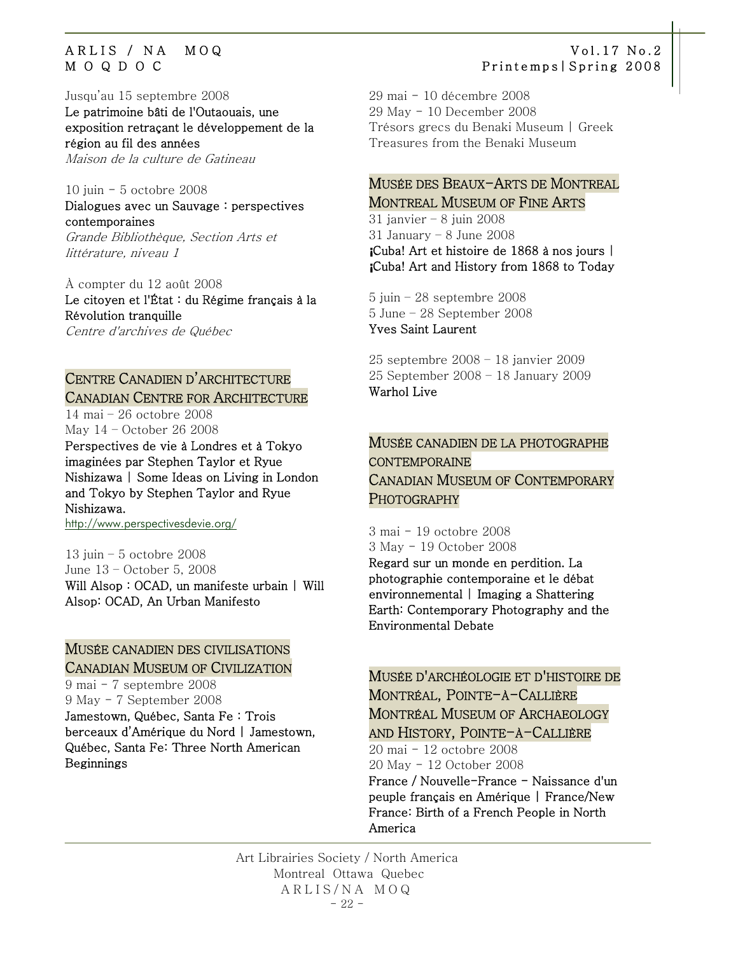Jusqu'au 15 septembre 2008

[Le patrimoine bâti de l'Outaouais, une](javascript:;)  [exposition retraçant le développement de la](javascript:;)  [région au fil des années](javascript:;)  Maison de la culture de Gatineau

10 juin - 5 octobre 2008

Dialogues avec un Sauvage : perspectives contemporaines [Grande Bibliothèque](http://www.banq.qc.ca/portal/dt/activites/expositions/expositions.jsp#gb), Section Arts et

littérature, niveau 1

À compter du 12 août 2008 Le citoyen et l'État : du Régime français à la Révolution tranquille [Centre d'archives de Québec](http://www.banq.qc.ca/portal/dt/activites/expositions/expositions.jsp#caq) 

## CENTRE CANADIEN D'ARCHITECTURE CANADIAN CENTRE FOR ARCHITECTURE

14 mai – 26 octobre 2008 May 14 – October 26 2008

Perspectives de vie à Londres et à Tokyo imaginées par Stephen Taylor et Ryue Nishizawa | Some Ideas on Living in London and Tokyo by Stephen Taylor and Ryue Nishizawa.

<http://www.perspectivesdevie.org/>

13 juin – 5 octobre 2008 June 13 – October 5, 2008 Will Alsop : OCAD, un manifeste urbain | Will Alsop: OCAD, An Urban Manifesto

### MUSÉE CANADIEN DES CIVILISATIONS CANADIAN MUSEUM OF CIVILIZATION

9 mai - 7 septembre 2008 9 May - 7 September 2008 Jamestown, Québec, Santa Fe : Trois berceaux d'Amérique du Nord | Jamestown, Québec, Santa Fe: Three North American Beginnings

### ARLIS / NA MOQ Vol.17 No.2 M O Q D O C Printemps|Spring 2008

29 mai - 10 décembre 2008 29 May - 10 December 2008 Trésors grecs du Benaki Museum | Greek Treasures from the Benaki Museum

### MUSÉE DES BEAUX-ARTS DE MONTREAL MONTREAL MUSEUM OF FINE ARTS

31 janvier – 8 juin 2008 31 January – 8 June 2008 **¡**Cuba! Art et histoire de 1868 à nos jours | **¡**Cuba! Art and History from 1868 to Today

5 juin – 28 septembre 2008 5 June – 28 September 2008 Yves Saint Laurent

25 septembre 2008 – 18 janvier 2009 25 September 2008 – 18 January 2009 Warhol Live

### MUSÉE CANADIEN DE LA PHOTOGRAPHE CONTEMPORAINE CANADIAN MUSEUM OF CONTEMPORARY PHOTOGRAPHY

3 mai - 19 octobre 2008 3 May - 19 October 2008 Regard sur un monde en perdition. La photographie contemporaine et le débat environnemental | Imaging a Shattering Earth: Contemporary Photography and the Environmental Debate

### MUSÉE D'ARCHÉOLOGIE ET D'HISTOIRE DE MONTRÉAL, POINTE-À-CALLIÈRE MONTRÉAL MUSEUM OF ARCHAEOLOGY AND HISTORY, POINTE-A-CALLIÈRE

20 mai - 12 octobre 2008 20 May - 12 October 2008

France / Nouvelle-France - Naissance d'un peuple français en Amérique | France/New France: Birth of a French People in North America

Art Librairies Society / North America Montreal Ottawa Quebec ARLIS/NA MOQ  $-22-$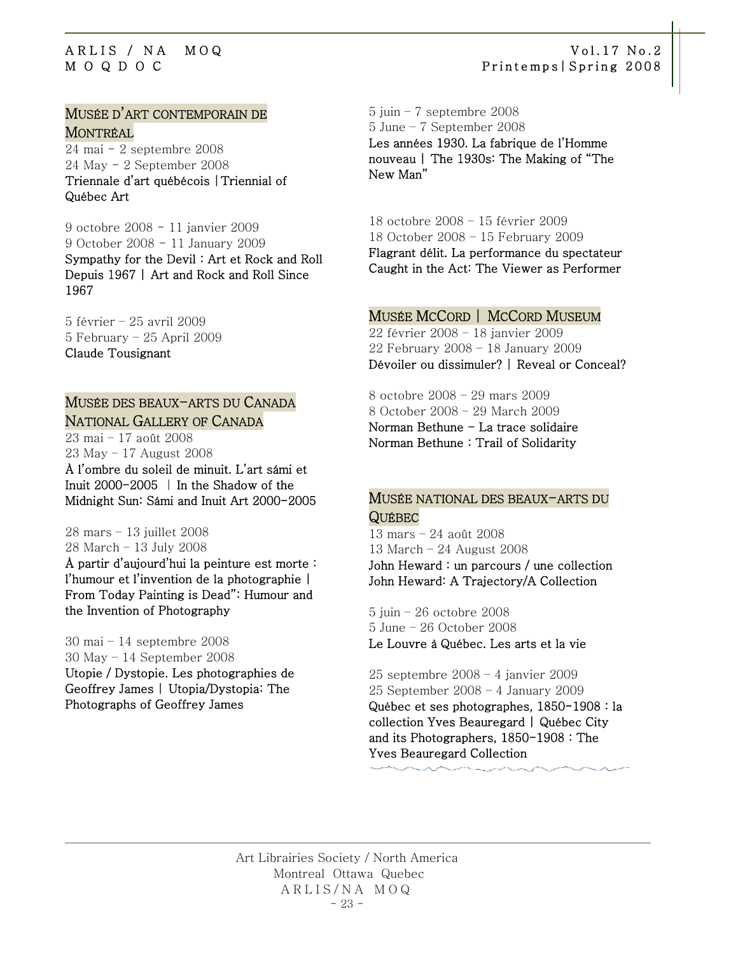### MUSÉE D'ART CONTEMPORAIN DE MONTRÉAL

24 mai - 2 septembre 2008 24 May - 2 September 2008 Triennale d'art québécois |Triennial of Québec Art

9 octobre 2008 - 11 janvier 2009 9 October 2008 - 11 January 2009 Sympathy for the Devil : Art et Rock and Roll Depuis 1967 | Art and Rock and Roll Since 1967

5 février – 25 avril 2009 5 February – 25 April 2009 Claude Tousignant

### MUSÉE DES BEAUX-ARTS DU CANADA NATIONAL GALLERY OF CANADA

23 mai – 17 août 2008 23 May – 17 August 2008 À l'ombre du soleil de minuit. L'art sámi et Inuit 2000-2005 | In the Shadow of the Midnight Sun: Sámi and Inuit Art 2000-2005

28 mars – 13 juillet 2008 28 March – 13 July 2008

À partir d'aujourd'hui la peinture est morte : l'humour et l'invention de la photographie | From Today Painting is Dead": Humour and the Invention of Photography

30 mai – 14 septembre 2008 30 May – 14 September 2008 Utopie / Dystopie. Les photographies de Geoffrey James | Utopia/Dystopia: The Photographs of Geoffrey James

5 juin – 7 septembre 2008 5 June – 7 September 2008 Les années 1930. La fabrique de l'Homme nouveau | The 1930s: The Making of "The New Man"

18 octobre 2008 – 15 février 2009 18 October 2008 – 15 February 2009 Flagrant délit. La performance du spectateur Caught in the Act: The Viewer as Performer

### MUSÉE MCCORD | MCCORD MUSEUM

22 février 2008 – 18 janvier 2009 22 February 2008 – 18 January 2009 Dévoiler ou dissimuler? | Reveal or Conceal?

8 octobre 2008 – 29 mars 2009 8 October 2008 – 29 March 2009 Norman Bethune - La trace solidaire Norman Bethune : Trail of Solidarity

### MUSÉE NATIONAL DES BEAUX-ARTS DU QUÉBEC

13 mars – 24 août 2008 13 March – 24 August 2008 John Heward : un parcours / une collection John Heward: A Trajectory/A Collection

5 juin – 26 octobre 2008 5 June – 26 October 2008 Le Louvre à Québec. Les arts et la vie

25 septembre 2008 – 4 janvier 2009 25 September 2008 – 4 January 2009 Québec et ses photographes, 1850-1908 : la collection Yves Beauregard | Québec City and its Photographers, 1850-1908 : The Yves Beauregard Collection